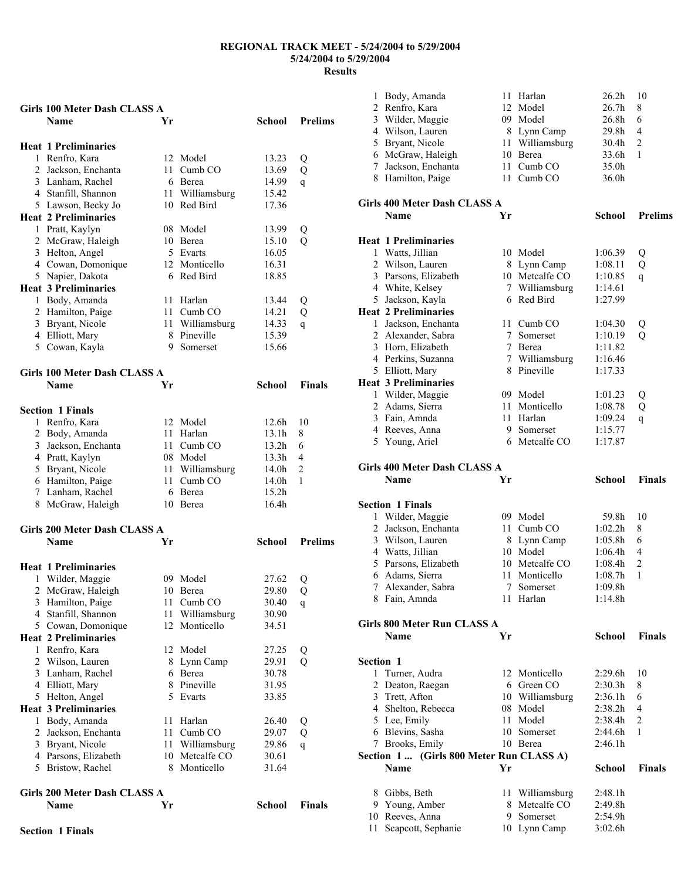#### **Name Yr School Prelims Heat 1 Preliminaries**  1 Renfro, Kara 12 Model 13.23 Q 2 Jackson, Enchanta 11 Cumb CO 13.69 Q 3 Lanham, Rachel 6 Berea 14.99 q 4 Stanfill, Shannon 11 Williamsburg 15.42 5 Lawson, Becky Jo 10 Red Bird 17.36 **Heat 2 Preliminaries**  1 Pratt, Kaylyn 08 Model 13.99 Q 2 McGraw, Haleigh 10 Berea 15.10 Q 3 Helton, Angel 5 Evarts 16.05 4 Cowan, Domonique 12 Monticello 16.31 5 Napier, Dakota 6 Red Bird 18.85 **Heat 3 Preliminaries**  1 Body, Amanda 11 Harlan 13.44 Q 2 Hamilton, Paige 11 Cumb CO 14.21 Q 3 Bryant, Nicole 11 Williamsburg 14.33 q 4 Elliott, Mary 8 Pineville 15.39 5 Cowan, Kayla 9 Somerset 15.66 **Girls 100 Meter Dash CLASS A Name Yr School Finals Section 1 Finals**  1 Renfro, Kara 12 Model 12.6h 10 2 Body, Amanda 11 Harlan 13.1h 8 3 Jackson, Enchanta 11 Cumb CO 13.2h 6 4 Pratt, Kaylyn 08 Model 13.3h 4 5 Bryant, Nicole 11 Williamsburg 14.0h 2 6 Hamilton, Paige 11 Cumb CO 14.0h 1 7 Lanham, Rachel 6 Berea 15.2h 8 McGraw, Haleigh 10 Berea 16.4h **Girls 200 Meter Dash CLASS A Name Yr School Prelims Heat 1 Preliminaries**  1 Wilder, Maggie 09 Model 27.62 Q 2 McGraw, Haleigh 10 Berea 29.80 Q 3 Hamilton, Paige 11 Cumb CO 30.40 q 4 Stanfill, Shannon 11 Williamsburg 30.90 5 Cowan, Domonique 12 Monticello 34.51 **Heat 2 Preliminaries**  1 Renfro, Kara 12 Model 27.25 Q 2 Wilson, Lauren 8 Lynn Camp 29.91 Q 3 Lanham, Rachel 6 Berea 30.78<br>4 Elliott. Mary 8 Pineville 31.95 4 Elliott, Mary 8 Pineville 31.95<br>5 Helton. Angel 5 Evarts 33.85 5 Helton, Angel 5 Evarts 33.85 **Heat 3 Preliminaries**  1 Body, Amanda 11 Harlan 26.40 Q<br>2 Jackson, Enchanta 11 Cumb CO 29.07 O 2 Jackson, Enchanta 11 Cumb CO 29.07 Q 3 Bryant, Nicole 11 Williamsburg 29.86 q<br>4 Parsons. Elizabeth 10 Metcalfe CO 30.61 4 Parsons, Elizabeth 10 Metcalfe CO 5 Bristow, Rachel 8 Monticello 31.64 **Girls 200 Meter Dash CLASS A**

**Girls 100 Meter Dash CLASS A** 

| <b>Name</b> | Yr | <b>School</b> Finals |  |
|-------------|----|----------------------|--|
|             |    |                      |  |

| $\mathbf{1}$     | Body, Amanda                             |                 | 11 Harlan                        | 26.2 <sub>h</sub>  | 10             |
|------------------|------------------------------------------|-----------------|----------------------------------|--------------------|----------------|
| $\overline{2}$   | Renfro, Kara                             |                 | 12 Model                         | 26.7 <sub>h</sub>  | 8              |
| 3                | Wilder, Maggie                           |                 | 09 Model                         | 26.8h              | 6              |
|                  | 4 Wilson, Lauren                         |                 | 8 Lynn Camp                      | 29.8h              | 4              |
| 5                | Bryant, Nicole                           |                 | 11 Williamsburg                  | 30.4h              | 2              |
|                  | 6 McGraw, Haleigh                        |                 | 10 Berea                         | 33.6h              | 1              |
| 7                | Jackson, Enchanta                        | 11 -            | Cumb <sub>CO</sub>               | 35.0h              |                |
|                  | 8 Hamilton, Paige                        | 11 -            | Cumb <sub>CO</sub>               | 36.0h              |                |
|                  | Girls 400 Meter Dash CLASS A             |                 |                                  |                    |                |
|                  | Name                                     | Yr              |                                  | School             | <b>Prelims</b> |
|                  | <b>Heat 1 Preliminaries</b>              |                 |                                  |                    |                |
| 1                | Watts, Jillian                           |                 | 10 Model                         | 1:06.39            | Q              |
|                  | 2 Wilson, Lauren                         |                 | 8 Lynn Camp                      | 1:08.11            | Q              |
|                  | 3 Parsons, Elizabeth                     |                 | 10 Metcalfe CO                   | 1:10.85            | q              |
|                  | 4 White, Kelsey                          |                 | 7 Williamsburg                   | 1:14.61            |                |
|                  | 5 Jackson, Kayla                         |                 | 6 Red Bird                       | 1:27.99            |                |
|                  | <b>Heat 2 Preliminaries</b>              |                 |                                  |                    |                |
| $\mathbf{1}$     | Jackson, Enchanta                        |                 | 11 Cumb CO                       | 1:04.30            | Q              |
|                  | 2 Alexander, Sabra                       | $7\phantom{.0}$ | Somerset                         | 1:10.19            | Q              |
|                  | 3 Horn, Elizabeth                        |                 | 7 Berea                          | 1:11.82            |                |
|                  | 4 Perkins, Suzanna                       |                 | 7 Williamsburg                   | 1:16.46            |                |
|                  | 5 Elliott, Mary                          |                 | 8 Pineville                      | 1:17.33            |                |
|                  | <b>Heat 3 Preliminaries</b>              |                 |                                  |                    |                |
| 1                | Wilder, Maggie                           |                 | 09 Model                         | 1:01.23            | Q              |
|                  | 2 Adams, Sierra                          |                 | 11 Monticello                    | 1:08.78            | Q              |
|                  | 3 Fain, Amnda                            |                 | 11 Harlan<br>9 Somerset          | 1:09.24            | q              |
|                  | 4 Reeves, Anna<br>5 Young, Ariel         |                 | 6 Metcalfe CO                    | 1:15.77<br>1:17.87 |                |
|                  |                                          |                 |                                  |                    |                |
|                  | Girls 400 Meter Dash CLASS A             |                 |                                  |                    |                |
|                  | Name                                     | Yr              |                                  | <b>School</b>      | <b>Finals</b>  |
|                  |                                          |                 |                                  |                    |                |
|                  | <b>Section 1 Finals</b>                  |                 |                                  |                    |                |
|                  | 1 Wilder, Maggie                         |                 | 09 Model                         | 59.8h              | 10             |
| $\overline{2}$   | Jackson, Enchanta                        |                 | 11 Cumb CO                       | 1:02.2h            | 8              |
| $\mathfrak{Z}$   | Wilson, Lauren                           |                 | 8 Lynn Camp                      | 1:05.8h            | 6              |
|                  | 4 Watts, Jillian                         |                 | 10 Model                         | 1:06.4h            | 4              |
| 5                | Parsons, Elizabeth                       |                 | 10 Metcalfe CO                   | 1:08.4h            | $\overline{c}$ |
| 6                | Adams, Sierra                            |                 | 11 Monticello                    | 1:08.7h            | 1              |
|                  | 7 Alexander, Sabra                       |                 | 7 Somerset                       | 1:09.8h            |                |
|                  | 8 Fain, Amnda                            |                 | 11 Harlan                        | 1:14.8h            |                |
|                  | Girls 800 Meter Run CLASS A              |                 |                                  |                    |                |
|                  | <b>Name</b>                              | Yr              |                                  | <b>School</b>      | <b>Finals</b>  |
| <b>Section 1</b> |                                          |                 |                                  |                    |                |
| 1                | Turner, Audra                            |                 | 12 Monticello                    | 2:29.6h            | 10             |
|                  | 2 Deaton, Raegan                         |                 | 6 Green CO                       | 2:30.3h            | 8              |
|                  | 3 Trett, Afton                           |                 | 10 Williamsburg                  | 2:36.1h            | 6              |
|                  | 4 Shelton, Rebecca                       |                 | 08 Model                         | 2:38.2h            | 4              |
|                  | 5 Lee, Emily                             |                 | 11 Model                         | 2:38.4h            | 2              |
|                  | 6 Blevins, Sasha                         |                 | 10 Somerset                      | 2:44.6h            | 1              |
|                  | 7 Brooks, Emily                          |                 | 10 Berea                         | 2:46.1h            |                |
|                  | Section 1  (Girls 800 Meter Run CLASS A) |                 |                                  |                    |                |
|                  | <b>Name</b>                              | Yr              |                                  | <b>School</b>      | Finals         |
|                  |                                          |                 |                                  | 2:48.1h            |                |
|                  | 8 Gibbs, Beth<br>9 Young, Amber          |                 | 11 Williamsburg<br>8 Metcalfe CO | 2:49.8h            |                |
|                  | 10 Reeves, Anna                          |                 | 9 Somerset                       | 2:54.9h            |                |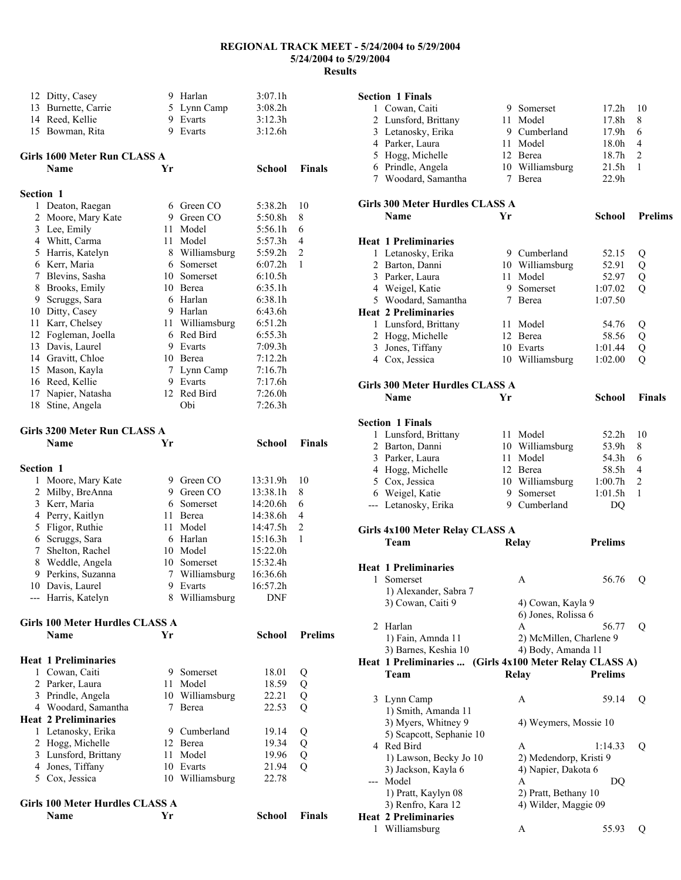| 12               | Ditty, Casey                           |     | 9 Harlan                     | 3:07.1h        |                      |
|------------------|----------------------------------------|-----|------------------------------|----------------|----------------------|
|                  | 13 Burnette, Carrie                    |     | 5 Lynn Camp                  | 3:08.2h        |                      |
|                  | 14 Reed, Kellie                        |     | 9 Evarts                     | 3:12.3h        |                      |
|                  | 15 Bowman, Rita                        | 9   | Evarts                       | 3:12.6h        |                      |
|                  |                                        |     |                              |                |                      |
|                  | Girls 1600 Meter Run CLASS A           |     |                              |                |                      |
|                  | Name                                   | Yr  |                              | <b>School</b>  | <b>Finals</b>        |
| <b>Section 1</b> |                                        |     |                              |                |                      |
|                  | 1 Deaton, Raegan                       |     | 6 Green CO                   | 5:38.2h        | 10                   |
|                  | 2 Moore, Mary Kate                     |     | 9 Green CO                   | 5:50.8h        | 8                    |
|                  | 3 Lee, Emily                           | 11  | Model                        | 5:56.1h        | 6                    |
|                  | 4 Whitt, Carma                         | 11  | Model                        | 5:57.3h        | 4                    |
|                  | 5 Harris, Katelyn                      |     | 8 Williamsburg               | 5:59.2h        | 2                    |
|                  | 6 Kerr, Maria                          |     | 6 Somerset                   | 6:07.2h        | 1                    |
|                  | 7 Blevins, Sasha                       |     | 10 Somerset                  | 6:10.5h        |                      |
|                  | 8 Brooks, Emily                        |     | 10 Berea                     | 6:35.1h        |                      |
|                  | 9 Scruggs, Sara                        |     | 6 Harlan                     | 6:38.1h        |                      |
|                  | 10 Ditty, Casey                        |     | 9 Harlan                     | 6:43.6h        |                      |
|                  | 11 Karr, Chelsey                       | 11  | Williamsburg                 | 6:51.2h        |                      |
|                  | 12 Fogleman, Joella                    |     | 6 Red Bird                   | 6:55.3h        |                      |
|                  | 13 Davis, Laurel                       |     | 9 Evarts                     | 7:09.3h        |                      |
|                  | 14 Gravitt, Chloe                      |     | 10 Berea                     | 7:12.2h        |                      |
|                  | 15 Mason, Kayla                        | 7   | Lynn Camp                    | 7:16.7h        |                      |
|                  | 16 Reed, Kellie                        |     | 9 Evarts                     | 7:17.6h        |                      |
|                  | 17 Napier, Natasha                     |     | 12 Red Bird                  | 7:26.0h        |                      |
| 18               | Stine, Angela                          |     | Obi                          | 7:26.3h        |                      |
|                  | Girls 3200 Meter Run CLASS A           |     |                              |                |                      |
|                  | Name                                   | Yr  |                              | School         | <b>Finals</b>        |
|                  |                                        |     |                              |                |                      |
| Section 1        |                                        |     |                              |                |                      |
|                  | 1 Moore, Mary Kate                     |     | 9 Green CO                   | 13:31.9h       | 10                   |
|                  | 2 Milby, BreAnna                       |     | 9 Green CO                   | 13:38.1h       | 8                    |
|                  | 3 Kerr, Maria                          |     | 6 Somerset                   | 14:20.6h       | 6                    |
|                  | 4 Perry, Kaitlyn                       | 11. | Berea                        | 14:38.6h       | 4                    |
|                  | 5 Fligor, Ruthie                       | 11  | Model                        | 14:47.5h       | $\overline{2}$       |
|                  | 6 Scruggs, Sara                        |     | 6 Harlan                     | 15:16.3h       | 1                    |
|                  | 7 Shelton, Rachel                      | 10  | Model                        | 15:22.0h       |                      |
|                  | 8 Weddle, Angela                       |     | 10 Somerset                  | 15:32.4h       |                      |
|                  | 9 Perkins, Suzanna                     |     | 7 Williamsburg               | 16:36.6h       |                      |
|                  | 10 Davis, Laurel                       |     | 9 Evarts                     | 16:57.2h       |                      |
|                  | --- Harris, Katelyn                    |     | 8 Williamsburg               | <b>DNF</b>     |                      |
|                  | Girls 100 Meter Hurdles CLASS A        |     |                              |                |                      |
|                  | <b>Name</b>                            | Yr  |                              | School         | <b>Prelims</b>       |
|                  |                                        |     |                              |                |                      |
|                  | <b>Heat 1 Preliminaries</b>            |     |                              |                |                      |
|                  | 1 Cowan, Caiti                         |     | 9 Somerset                   | 18.01          | Q                    |
|                  | 2 Parker, Laura                        |     | 11 Model                     | 18.59          | Q                    |
|                  | 3 Prindle, Angela                      |     | 10 Williamsburg              | 22.21          | Q                    |
|                  | 4 Woodard, Samantha                    |     | 7 Berea                      | 22.53          | Q                    |
|                  | <b>Heat 2 Preliminaries</b>            |     |                              |                |                      |
|                  | 1 Letanosky, Erika                     |     | 9 Cumberland                 | 19.14          | Q                    |
|                  | 2 Hogg, Michelle                       |     | 12 Berea                     | 19.34          | Q                    |
|                  | 3 Lunsford, Brittany                   | 11  | Model                        | 19.96          | Q                    |
|                  | 4 Jones, Tiffany<br>5 Cox, Jessica     |     | 10 Evarts<br>10 Williamsburg | 21.94<br>22.78 | Q                    |
|                  |                                        |     |                              |                |                      |
|                  | <b>Girls 100 Meter Hurdles CLASS A</b> |     |                              |                |                      |
|                  | Name                                   | Yr  |                              |                | <b>School</b> Finals |

|     | <b>Section 1 Finals</b>                                 |      |                         |                   |                |
|-----|---------------------------------------------------------|------|-------------------------|-------------------|----------------|
|     | 1 Cowan, Caiti                                          |      | 9 Somerset              | 17.2 <sub>h</sub> | 10             |
|     | 2 Lunsford, Brittany                                    | 11   | Model                   | 17.8h             | 8              |
|     | 3 Letanosky, Erika                                      |      | 9 Cumberland            | 17.9h             | 6              |
|     | 4 Parker, Laura                                         |      | 11 Model                | 18.0h             | 4              |
|     | 5 Hogg, Michelle                                        |      | 12 Berea                | 18.7h             | 2              |
|     | 6 Prindle, Angela                                       |      | 10 Williamsburg         | 21.5h             | 1              |
|     | 7 Woodard, Samantha                                     |      | 7 Berea                 | 22.9 <sub>h</sub> |                |
|     |                                                         |      |                         |                   |                |
|     | Girls 300 Meter Hurdles CLASS A                         |      |                         |                   |                |
|     | <b>Name</b>                                             | Yr   |                         | School            | <b>Prelims</b> |
|     |                                                         |      |                         |                   |                |
|     | <b>Heat 1 Preliminaries</b>                             |      |                         |                   |                |
|     | 1 Letanosky, Erika                                      |      | 9 Cumberland            | 52.15             | Q              |
|     | 2 Barton, Danni                                         |      | 10 Williamsburg         | 52.91             | Q              |
|     | 3 Parker, Laura                                         |      | 11 Model                | 52.97             | Q              |
|     | 4 Weigel, Katie                                         |      | 9 Somerset              | 1:07.02           | Q              |
|     | 5 Woodard, Samantha                                     | 7    | Berea                   | 1:07.50           |                |
|     | <b>Heat 2 Preliminaries</b>                             |      |                         |                   |                |
|     | 1 Lunsford, Brittany                                    |      | 11 Model                | 54.76             | Q              |
|     | 2 Hogg, Michelle                                        |      | 12 Berea                | 58.56             | Q              |
|     | 3 Jones, Tiffany                                        |      | 10 Evarts               | 1:01.44           | Q              |
|     | 4 Cox, Jessica                                          |      | 10 Williamsburg         | 1:02.00           | Q              |
|     |                                                         |      |                         |                   |                |
|     | <b>Girls 300 Meter Hurdles CLASS A</b>                  |      |                         |                   |                |
|     | <b>Name</b>                                             | Yr   |                         | School            | <b>Finals</b>  |
|     |                                                         |      |                         |                   |                |
|     | <b>Section 1 Finals</b>                                 |      |                         |                   |                |
|     | 1 Lunsford, Brittany                                    | 11 - | Model                   | 52.2h             | 10             |
|     | 2 Barton, Danni                                         |      | 10 Williamsburg         | 53.9h             | 8              |
|     | 3 Parker, Laura                                         |      | 11 Model                | 54.3h             | 6              |
|     | 4 Hogg, Michelle                                        |      | 12 Berea                | 58.5h             | 4              |
|     | 5 Cox, Jessica                                          |      | 10 Williamsburg         | 1:00.7h           | 2              |
|     | 6 Weigel, Katie                                         |      | 9 Somerset              | 1:01.5h           | 1              |
|     | --- Letanosky, Erika                                    |      | 9 Cumberland            | DQ                |                |
|     |                                                         |      |                         |                   |                |
|     | Girls 4x100 Meter Relay CLASS A                         |      |                         |                   |                |
|     | Team                                                    |      | Relay                   | <b>Prelims</b>    |                |
|     |                                                         |      |                         |                   |                |
|     | <b>Heat 1 Preliminaries</b>                             |      |                         |                   |                |
| 1   | Somerset                                                |      | Α                       | 56.76             | Q              |
|     | 1) Alexander, Sabra 7                                   |      |                         |                   |                |
|     | 3) Cowan, Caiti 9                                       |      | 4) Cowan, Kayla 9       |                   |                |
|     |                                                         |      | 6) Jones, Rolissa 6     |                   |                |
| 2   | Harlan                                                  |      | A                       | 56.77             | Q              |
|     | 1) Fain, Amnda 11                                       |      | 2) McMillen, Charlene 9 |                   |                |
|     | 3) Barnes, Keshia 10                                    |      | 4) Body, Amanda 11      |                   |                |
|     | Heat 1 Preliminaries  (Girls 4x100 Meter Relay CLASS A) |      |                         |                   |                |
|     | Team                                                    |      | Relay                   | <b>Prelims</b>    |                |
|     |                                                         |      |                         |                   |                |
|     | 3 Lynn Camp                                             |      | A                       | 59.14             | Q              |
|     | 1) Smith, Amanda 11                                     |      |                         |                   |                |
|     | 3) Myers, Whitney 9                                     |      | 4) Weymers, Mossie 10   |                   |                |
|     | 5) Scapcott, Sephanie 10                                |      |                         |                   |                |
|     | 4 Red Bird                                              |      | A                       | 1:14.33           | Q              |
|     | 1) Lawson, Becky Jo 10                                  |      | 2) Medendorp, Kristi 9  |                   |                |
|     | 3) Jackson, Kayla 6                                     |      | 4) Napier, Dakota 6     |                   |                |
| --- | Model                                                   |      | A                       | DQ                |                |
|     | 1) Pratt, Kaylyn 08                                     |      | 2) Pratt, Bethany 10    |                   |                |
|     | 3) Renfro, Kara 12                                      |      | 4) Wilder, Maggie 09    |                   |                |
|     | <b>Heat 2 Preliminaries</b>                             |      |                         |                   |                |

Williamsburg A 55.93 Q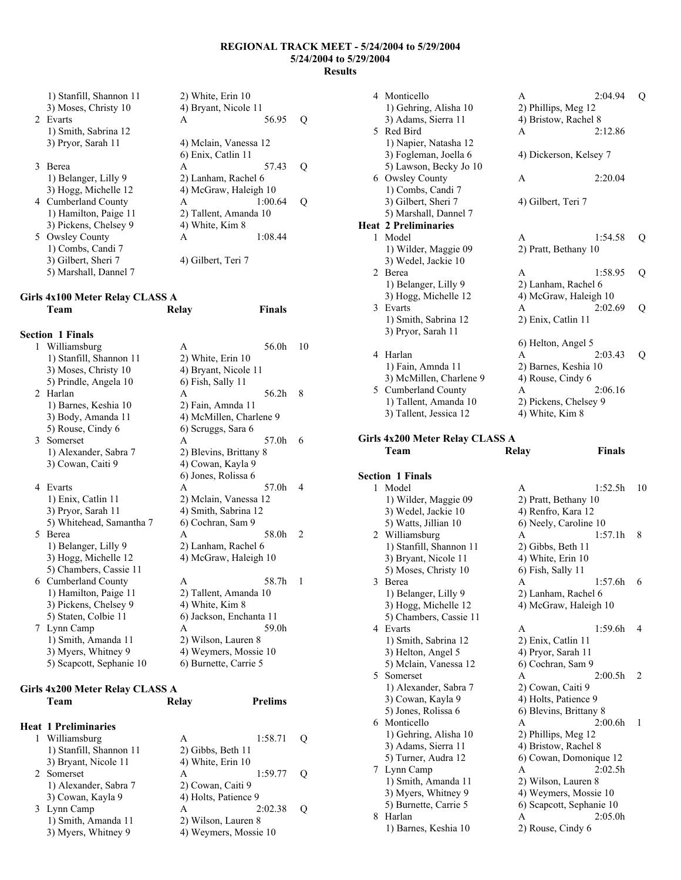|   | 1) Stanfill, Shannon 11 | 2) White, Erin 10     |         |                     |
|---|-------------------------|-----------------------|---------|---------------------|
|   | 3) Moses, Christy 10    | 4) Bryant, Nicole 11  |         |                     |
|   | 2 Evarts                | A                     | 56.95   | $\scriptstyle\rm ($ |
|   | 1) Smith, Sabrina 12    |                       |         |                     |
|   | 3) Pryor, Sarah 11      | 4) Melain, Vanessa 12 |         |                     |
|   |                         | 6) Enix, Catlin 11    |         |                     |
| 3 | <b>Berea</b>            | A                     | 57.43   | 0                   |
|   | 1) Belanger, Lilly 9    | 2) Lanham, Rachel 6   |         |                     |
|   | 3) Hogg, Michelle 12    | 4) McGraw, Haleigh 10 |         |                     |
|   | 4 Cumberland County     | A                     | 1:00.64 |                     |
|   | 1) Hamilton, Paige 11   | 2) Tallent, Amanda 10 |         |                     |
|   | 3) Pickens, Chelsey 9   | 4) White, Kim 8       |         |                     |
|   | 5 Owsley County         | A                     | 1:08.44 |                     |
|   | 1) Combs, Candi 7       |                       |         |                     |
|   | 3) Gilbert, Sheri 7     | 4) Gilbert, Teri 7    |         |                     |
|   | 5) Marshall, Dannel 7   |                       |         |                     |

#### **Girls 4x100 Meter Relay CLASS A Team Relay Finals**

|                | <b>Section 1 Finals</b>  | 56.0h<br>$\mathsf{A}$   | 10             |
|----------------|--------------------------|-------------------------|----------------|
|                | 1 Williamsburg           |                         |                |
|                | 1) Stanfill, Shannon 11  | 2) White, Erin 10       |                |
|                | 3) Moses, Christy 10     | 4) Bryant, Nicole 11    |                |
|                | 5) Prindle, Angela 10    | 6) Fish, Sally 11       |                |
| $\mathfrak{D}$ | Harlan                   | 56.2h<br>A              | 8              |
|                | 1) Barnes, Keshia 10     | 2) Fain, Amnda 11       |                |
|                | 3) Body, Amanda 11       | 4) McMillen, Charlene 9 |                |
|                | 5) Rouse, Cindy 6        | 6) Scruggs, Sara 6      |                |
| $\mathcal{E}$  | Somerset                 | 57.0h<br>A              | 6              |
|                | 1) Alexander, Sabra 7    | 2) Blevins, Brittany 8  |                |
|                | 3) Cowan, Caiti 9        | 4) Cowan, Kayla 9       |                |
|                |                          | 6) Jones, Rolissa 6     |                |
| 4              | Evarts                   | 57.0h<br>A              | 4              |
|                | 1) Enix, Catlin 11       | 2) Mclain, Vanessa 12   |                |
|                | 3) Pryor, Sarah 11       | 4) Smith, Sabrina 12    |                |
|                | 5) Whitehead, Samantha 7 | 6) Cochran, Sam 9       |                |
| 5              | <b>Berea</b>             | 58.0h<br>A              | $\overline{2}$ |
|                | 1) Belanger, Lilly 9     | 2) Lanham, Rachel 6     |                |
|                | 3) Hogg, Michelle 12     | 4) McGraw, Haleigh 10   |                |
|                | 5) Chambers, Cassie 11   |                         |                |
|                | 6 Cumberland County      | 58.7h<br>A              | $\mathbf{1}$   |
|                | 1) Hamilton, Paige 11    | 2) Tallent, Amanda 10   |                |
|                | 3) Pickens, Chelsey 9    | 4) White, Kim 8         |                |
|                | 5) Staten, Colbie 11     | 6) Jackson, Enchanta 11 |                |
|                | 7 Lynn Camp              | 59.0h<br>A              |                |
|                | 1) Smith, Amanda 11      | 2) Wilson, Lauren 8     |                |
|                | 3) Myers, Whitney 9      | 4) Weymers, Mossie 10   |                |
|                | 5) Scapcott, Sephanie 10 | 6) Burnette, Carrie 5   |                |

## **Girls 4x200 Meter Relay CLASS A**

| Team                        | Relay     | Prelims |                                                                                                                                     |
|-----------------------------|-----------|---------|-------------------------------------------------------------------------------------------------------------------------------------|
| <b>Heat 1 Preliminaries</b> |           |         |                                                                                                                                     |
| Williamsburg                | A         | 1:58.71 |                                                                                                                                     |
| 1) Stanfill, Shannon 11     |           |         |                                                                                                                                     |
| 3) Bryant, Nicole 11        |           |         |                                                                                                                                     |
| 2 Somerset                  | A         | 1:59.77 |                                                                                                                                     |
| 1) Alexander, Sabra 7       |           |         |                                                                                                                                     |
| 3) Cowan, Kayla 9           |           |         |                                                                                                                                     |
|                             | A         | 2:02.38 |                                                                                                                                     |
| 1) Smith, Amanda 11         |           |         |                                                                                                                                     |
| 3) Myers, Whitney 9         |           |         |                                                                                                                                     |
|                             | Lynn Camp |         | 2) Gibbs, Beth 11<br>4) White, Erin 10<br>2) Cowan, Caiti 9<br>4) Holts, Patience 9<br>2) Wilson, Lauren 8<br>4) Weymers, Mossie 10 |

|   | 4 Monticello                | A                     | 2:04.94                | 0 |
|---|-----------------------------|-----------------------|------------------------|---|
|   | 1) Gehring, Alisha 10       | 2) Phillips, Meg 12   |                        |   |
|   | 3) Adams, Sierra 11         | 4) Bristow, Rachel 8  |                        |   |
|   | 5 Red Bird                  | A                     | 2:12.86                |   |
|   | 1) Napier, Natasha 12       |                       |                        |   |
|   | 3) Fogleman, Joella 6       |                       | 4) Dickerson, Kelsey 7 |   |
|   | 5) Lawson, Becky Jo 10      |                       |                        |   |
|   | 6 Owsley County             | A                     | 2:20.04                |   |
|   | 1) Combs, Candi 7           |                       |                        |   |
|   | 3) Gilbert, Sheri 7         | 4) Gilbert, Teri 7    |                        |   |
|   | 5) Marshall, Dannel 7       |                       |                        |   |
|   | <b>Heat 2 Preliminaries</b> |                       |                        |   |
| 1 | Model                       | A                     | 1:54.58                | Q |
|   | 1) Wilder, Maggie 09        | 2) Pratt, Bethany 10  |                        |   |
|   | 3) Wedel, Jackie 10         |                       |                        |   |
|   | 2 Berea                     | A                     | 1:58.95                | Q |
|   | 1) Belanger, Lilly 9        | 2) Lanham, Rachel 6   |                        |   |
|   | 3) Hogg, Michelle 12        |                       | 4) McGraw, Haleigh 10  |   |
|   | 3 Evarts                    | A                     | 2:02.69                | Q |
|   | 1) Smith, Sabrina 12        | 2) Enix, Catlin 11    |                        |   |
|   | 3) Pryor, Sarah 11          |                       |                        |   |
|   |                             | 6) Helton, Angel 5    |                        |   |
| 4 | Harlan                      | A                     | 2:03.43                | Ő |
|   | 1) Fain, Amnda 11           | 2) Barnes, Keshia 10  |                        |   |
|   | 3) McMillen, Charlene 9     | 4) Rouse, Cindy 6     |                        |   |
|   | 5 Cumberland County         | A                     | 2:06.16                |   |
|   | 1) Tallent, Amanda 10       | 2) Pickens, Chelsey 9 |                        |   |
|   | 3) Tallent, Jessica 12      | 4) White, Kim 8       |                        |   |

#### **Girls 4x200 Meter Relay CLASS A Team Relay Finals**

| Model<br>1:52.5h<br>10<br>1<br>A<br>1) Wilder, Maggie 09<br>2) Pratt, Bethany 10<br>3) Wedel, Jackie 10<br>4) Renfro, Kara 12<br>5) Watts, Jillian 10<br>6) Neely, Caroline 10<br>2 Williamsburg<br>1:57.1h<br>8<br>A<br>1) Stanfill, Shannon 11<br>2) Gibbs, Beth 11<br>3) Bryant, Nicole 11<br>4) White, Erin 10<br>5) Moses, Christy 10<br>6) Fish, Sally 11<br>3 Berea<br>1:57.6h<br>A<br>6<br>1) Belanger, Lilly 9<br>2) Lanham, Rachel 6<br>4) McGraw, Haleigh 10<br>3) Hogg, Michelle 12<br>5) Chambers, Cassie 11<br>4 Evarts<br>$1.59$ 6h<br>A<br>4<br>1) Smith, Sabrina 12<br>2) Enix, Catlin 11<br>3) Helton, Angel 5<br>4) Pryor, Sarah 11<br>5) Mclain, Vanessa 12<br>6) Cochran, Sam 9<br>2:00.5h<br>5 Somerset<br>$\overline{2}$<br>A<br>1) Alexander, Sabra 7<br>2) Cowan, Caiti 9<br>4) Holts, Patience 9<br>3) Cowan, Kayla 9<br>5) Jones, Rolissa 6<br>6) Blevins, Brittany 8<br>6 Monticello<br>2:00.6h<br>A<br>1<br>1) Gehring, Alisha 10<br>2) Phillips, Meg 12<br>3) Adams, Sierra 11<br>4) Bristow, Rachel 8<br>6) Cowan, Domonique 12<br>5) Turner, Audra 12<br>7 Lynn Camp<br>2:02.5h<br>A<br>1) Smith, Amanda 11<br>2) Wilson, Lauren 8<br>3) Myers, Whitney 9<br>4) Weymers, Mossie 10<br>5) Burnette, Carrie 5<br>6) Scapcott, Sephanie 10<br>Harlan<br>2:05.0h<br>8<br>A<br>1) Barnes, Keshia 10<br>2) Rouse, Cindy 6 | <b>Section 1 Finals</b> |  |  |
|-----------------------------------------------------------------------------------------------------------------------------------------------------------------------------------------------------------------------------------------------------------------------------------------------------------------------------------------------------------------------------------------------------------------------------------------------------------------------------------------------------------------------------------------------------------------------------------------------------------------------------------------------------------------------------------------------------------------------------------------------------------------------------------------------------------------------------------------------------------------------------------------------------------------------------------------------------------------------------------------------------------------------------------------------------------------------------------------------------------------------------------------------------------------------------------------------------------------------------------------------------------------------------------------------------------------------------------------------------|-------------------------|--|--|
|                                                                                                                                                                                                                                                                                                                                                                                                                                                                                                                                                                                                                                                                                                                                                                                                                                                                                                                                                                                                                                                                                                                                                                                                                                                                                                                                                     |                         |  |  |
|                                                                                                                                                                                                                                                                                                                                                                                                                                                                                                                                                                                                                                                                                                                                                                                                                                                                                                                                                                                                                                                                                                                                                                                                                                                                                                                                                     |                         |  |  |
|                                                                                                                                                                                                                                                                                                                                                                                                                                                                                                                                                                                                                                                                                                                                                                                                                                                                                                                                                                                                                                                                                                                                                                                                                                                                                                                                                     |                         |  |  |
|                                                                                                                                                                                                                                                                                                                                                                                                                                                                                                                                                                                                                                                                                                                                                                                                                                                                                                                                                                                                                                                                                                                                                                                                                                                                                                                                                     |                         |  |  |
|                                                                                                                                                                                                                                                                                                                                                                                                                                                                                                                                                                                                                                                                                                                                                                                                                                                                                                                                                                                                                                                                                                                                                                                                                                                                                                                                                     |                         |  |  |
|                                                                                                                                                                                                                                                                                                                                                                                                                                                                                                                                                                                                                                                                                                                                                                                                                                                                                                                                                                                                                                                                                                                                                                                                                                                                                                                                                     |                         |  |  |
|                                                                                                                                                                                                                                                                                                                                                                                                                                                                                                                                                                                                                                                                                                                                                                                                                                                                                                                                                                                                                                                                                                                                                                                                                                                                                                                                                     |                         |  |  |
|                                                                                                                                                                                                                                                                                                                                                                                                                                                                                                                                                                                                                                                                                                                                                                                                                                                                                                                                                                                                                                                                                                                                                                                                                                                                                                                                                     |                         |  |  |
|                                                                                                                                                                                                                                                                                                                                                                                                                                                                                                                                                                                                                                                                                                                                                                                                                                                                                                                                                                                                                                                                                                                                                                                                                                                                                                                                                     |                         |  |  |
|                                                                                                                                                                                                                                                                                                                                                                                                                                                                                                                                                                                                                                                                                                                                                                                                                                                                                                                                                                                                                                                                                                                                                                                                                                                                                                                                                     |                         |  |  |
|                                                                                                                                                                                                                                                                                                                                                                                                                                                                                                                                                                                                                                                                                                                                                                                                                                                                                                                                                                                                                                                                                                                                                                                                                                                                                                                                                     |                         |  |  |
|                                                                                                                                                                                                                                                                                                                                                                                                                                                                                                                                                                                                                                                                                                                                                                                                                                                                                                                                                                                                                                                                                                                                                                                                                                                                                                                                                     |                         |  |  |
|                                                                                                                                                                                                                                                                                                                                                                                                                                                                                                                                                                                                                                                                                                                                                                                                                                                                                                                                                                                                                                                                                                                                                                                                                                                                                                                                                     |                         |  |  |
|                                                                                                                                                                                                                                                                                                                                                                                                                                                                                                                                                                                                                                                                                                                                                                                                                                                                                                                                                                                                                                                                                                                                                                                                                                                                                                                                                     |                         |  |  |
|                                                                                                                                                                                                                                                                                                                                                                                                                                                                                                                                                                                                                                                                                                                                                                                                                                                                                                                                                                                                                                                                                                                                                                                                                                                                                                                                                     |                         |  |  |
|                                                                                                                                                                                                                                                                                                                                                                                                                                                                                                                                                                                                                                                                                                                                                                                                                                                                                                                                                                                                                                                                                                                                                                                                                                                                                                                                                     |                         |  |  |
|                                                                                                                                                                                                                                                                                                                                                                                                                                                                                                                                                                                                                                                                                                                                                                                                                                                                                                                                                                                                                                                                                                                                                                                                                                                                                                                                                     |                         |  |  |
|                                                                                                                                                                                                                                                                                                                                                                                                                                                                                                                                                                                                                                                                                                                                                                                                                                                                                                                                                                                                                                                                                                                                                                                                                                                                                                                                                     |                         |  |  |
|                                                                                                                                                                                                                                                                                                                                                                                                                                                                                                                                                                                                                                                                                                                                                                                                                                                                                                                                                                                                                                                                                                                                                                                                                                                                                                                                                     |                         |  |  |
|                                                                                                                                                                                                                                                                                                                                                                                                                                                                                                                                                                                                                                                                                                                                                                                                                                                                                                                                                                                                                                                                                                                                                                                                                                                                                                                                                     |                         |  |  |
|                                                                                                                                                                                                                                                                                                                                                                                                                                                                                                                                                                                                                                                                                                                                                                                                                                                                                                                                                                                                                                                                                                                                                                                                                                                                                                                                                     |                         |  |  |
|                                                                                                                                                                                                                                                                                                                                                                                                                                                                                                                                                                                                                                                                                                                                                                                                                                                                                                                                                                                                                                                                                                                                                                                                                                                                                                                                                     |                         |  |  |
|                                                                                                                                                                                                                                                                                                                                                                                                                                                                                                                                                                                                                                                                                                                                                                                                                                                                                                                                                                                                                                                                                                                                                                                                                                                                                                                                                     |                         |  |  |
|                                                                                                                                                                                                                                                                                                                                                                                                                                                                                                                                                                                                                                                                                                                                                                                                                                                                                                                                                                                                                                                                                                                                                                                                                                                                                                                                                     |                         |  |  |
|                                                                                                                                                                                                                                                                                                                                                                                                                                                                                                                                                                                                                                                                                                                                                                                                                                                                                                                                                                                                                                                                                                                                                                                                                                                                                                                                                     |                         |  |  |
|                                                                                                                                                                                                                                                                                                                                                                                                                                                                                                                                                                                                                                                                                                                                                                                                                                                                                                                                                                                                                                                                                                                                                                                                                                                                                                                                                     |                         |  |  |
|                                                                                                                                                                                                                                                                                                                                                                                                                                                                                                                                                                                                                                                                                                                                                                                                                                                                                                                                                                                                                                                                                                                                                                                                                                                                                                                                                     |                         |  |  |
|                                                                                                                                                                                                                                                                                                                                                                                                                                                                                                                                                                                                                                                                                                                                                                                                                                                                                                                                                                                                                                                                                                                                                                                                                                                                                                                                                     |                         |  |  |
|                                                                                                                                                                                                                                                                                                                                                                                                                                                                                                                                                                                                                                                                                                                                                                                                                                                                                                                                                                                                                                                                                                                                                                                                                                                                                                                                                     |                         |  |  |
|                                                                                                                                                                                                                                                                                                                                                                                                                                                                                                                                                                                                                                                                                                                                                                                                                                                                                                                                                                                                                                                                                                                                                                                                                                                                                                                                                     |                         |  |  |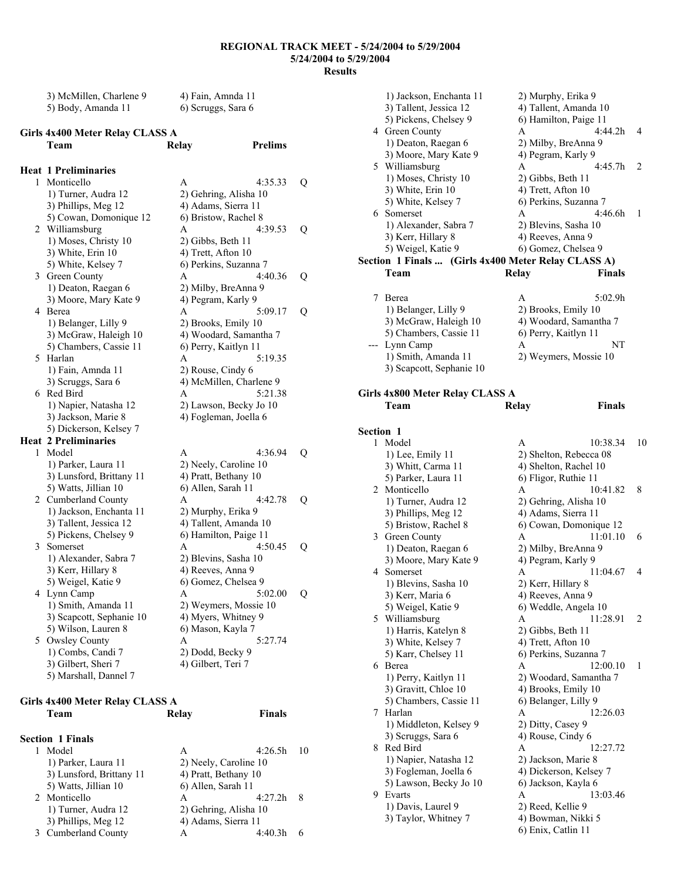| 3) McMillen, Charlene 9 | 4) Fain, Amnda 11  |
|-------------------------|--------------------|
| 5) Body, Amanda 11      | 6) Scruggs, Sara 6 |

### **Girls 4x400 Meter Relay CLASS A**

|   | Team                        | <b>Relay</b>       | Prelims                 |   |
|---|-----------------------------|--------------------|-------------------------|---|
|   | <b>Heat 1 Preliminaries</b> |                    |                         |   |
| 1 | Monticello                  | A                  | 4:35.33                 | Q |
|   | 1) Turner, Audra 12         |                    | 2) Gehring, Alisha 10   |   |
|   | 3) Phillips, Meg 12         |                    | 4) Adams, Sierra 11     |   |
|   | 5) Cowan, Domonique 12      |                    | 6) Bristow, Rachel 8    |   |
|   | 2 Williamsburg              | A                  | 4:39.53                 | Q |
|   | 1) Moses, Christy 10        | 2) Gibbs, Beth 11  |                         |   |
|   | 3) White, Erin 10           | 4) Trett, Afton 10 |                         |   |
|   | 5) White, Kelsey 7          |                    | 6) Perkins, Suzanna 7   |   |
| 3 | Green County                | A                  | 4:40.36                 | Q |
|   | 1) Deaton, Raegan 6         |                    | 2) Milby, BreAnna 9     |   |
|   | 3) Moore, Mary Kate 9       |                    | 4) Pegram, Karly 9      |   |
| 4 | Berea                       | A                  | 5:09.17                 | Q |
|   | 1) Belanger, Lilly 9        |                    | 2) Brooks, Emily 10     |   |
|   | 3) McGraw, Haleigh 10       |                    | 4) Woodard, Samantha 7  |   |
|   | 5) Chambers, Cassie 11      |                    | 6) Perry, Kaitlyn 11    |   |
| 5 | Harlan                      | A                  | 5:19.35                 |   |
|   | 1) Fain, Amnda 11           | 2) Rouse, Cindy 6  |                         |   |
|   | 3) Scruggs, Sara 6          |                    | 4) McMillen, Charlene 9 |   |
| 6 | Red Bird                    | A                  | 5:21.38                 |   |
|   | 1) Napier, Natasha 12       |                    | 2) Lawson, Becky Jo 10  |   |
|   | 3) Jackson, Marie 8         |                    | 4) Fogleman, Joella 6   |   |
|   | 5) Dickerson, Kelsey 7      |                    |                         |   |
|   | <b>Heat 2 Preliminaries</b> |                    |                         |   |
| 1 | Model                       | A                  | 4:36.94                 | Q |
|   | 1) Parker, Laura 11         |                    | 2) Neely, Caroline 10   |   |
|   | 3) Lunsford, Brittany 11    |                    | 4) Pratt, Bethany 10    |   |
|   | 5) Watts, Jillian 10        | 6) Allen, Sarah 11 |                         |   |
|   | 2 Cumberland County         | A                  | 4:42.78                 | Q |
|   | 1) Jackson, Enchanta 11     |                    | 2) Murphy, Erika 9      |   |
|   | 3) Tallent, Jessica 12      |                    | 4) Tallent, Amanda 10   |   |
|   | 5) Pickens, Chelsey 9       |                    | 6) Hamilton, Paige 11   |   |
| 3 | Somerset                    | A                  | 4:50.45                 | Q |
|   | 1) Alexander, Sabra 7       |                    | 2) Blevins, Sasha 10    |   |
|   | 3) Kerr, Hillary 8          | 4) Reeves, Anna 9  |                         |   |
|   | 5) Weigel, Katie 9          |                    | 6) Gomez, Chelsea 9     |   |
| 4 | Lynn Camp                   | A                  | 5:02.00                 | Q |
|   | 1) Smith, Amanda 11         |                    | 2) Weymers, Mossie 10   |   |
|   | 3) Scapcott, Sephanie 10    |                    | 4) Myers, Whitney 9     |   |
|   | 5) Wilson, Lauren 8         | 6) Mason, Kayla 7  |                         |   |
| 5 | Owsley County               | A                  | 5:27.74                 |   |
|   | 1) Combs, Candi 7           | 2) Dodd, Becky 9   |                         |   |
|   | 3) Gilbert, Sheri 7         | 4) Gilbert, Teri 7 |                         |   |
|   | 5) Marshall, Dannel 7       |                    |                         |   |

#### **Girls 4x400 Meter Relay CLASS A Team Relay Finals**

| <b>Section 1 Finals</b>  |                      |                       |    |
|--------------------------|----------------------|-----------------------|----|
| Model                    | A                    | 4:26.5h               | 10 |
| 1) Parker, Laura 11      |                      | 2) Neely, Caroline 10 |    |
| 3) Lunsford, Brittany 11 | 4) Pratt, Bethany 10 |                       |    |
| 5) Watts, Jillian 10     | 6) Allen, Sarah 11   |                       |    |
| 2 Monticello             | A                    | 4:27.2h               | 8  |
| 1) Turner, Audra 12      |                      | 2) Gehring, Alisha 10 |    |
| 3) Phillips, Meg 12      | 4) Adams, Sierra 11  |                       |    |
| <b>Cumberland County</b> | А                    | 4.40 3h               |    |

|                  | 1) Jackson, Enchanta 11<br>3) Tallent, Jessica 12<br>5) Pickens, Chelsey 9<br>4 Green County<br>1) Deaton, Raegan 6<br>3) Moore, Mary Kate 9<br>5 Williamsburg<br>1) Moses, Christy 10<br>3) White, Erin 10<br>5) White, Kelsey 7<br>6 Somerset<br>1) Alexander, Sabra 7<br>3) Kerr, Hillary 8<br>5) Weigel, Katie 9<br>Section 1 Finals  (Girls 4x400 Meter Relay CLASS A) | 2) Murphy, Erika 9<br>4) Tallent, Amanda 10<br>6) Hamilton, Paige 11<br>4:44.2h<br>A<br>2) Milby, BreAnna 9<br>4) Pegram, Karly 9<br>4:45.7h<br>A<br>2) Gibbs, Beth 11<br>4) Trett, Afton 10<br>6) Perkins, Suzanna 7<br>4:46.6h<br>A<br>2) Blevins, Sasha 10<br>4) Reeves, Anna 9<br>6) Gomez, Chelsea 9 | 4<br>2<br>1 |
|------------------|-----------------------------------------------------------------------------------------------------------------------------------------------------------------------------------------------------------------------------------------------------------------------------------------------------------------------------------------------------------------------------|-----------------------------------------------------------------------------------------------------------------------------------------------------------------------------------------------------------------------------------------------------------------------------------------------------------|-------------|
|                  | Team                                                                                                                                                                                                                                                                                                                                                                        | Relay<br>Finals                                                                                                                                                                                                                                                                                           |             |
| 7                | Berea                                                                                                                                                                                                                                                                                                                                                                       | A<br>5:02.9h                                                                                                                                                                                                                                                                                              |             |
|                  | 1) Belanger, Lilly 9                                                                                                                                                                                                                                                                                                                                                        | 2) Brooks, Emily 10                                                                                                                                                                                                                                                                                       |             |
|                  | 3) McGraw, Haleigh 10                                                                                                                                                                                                                                                                                                                                                       | 4) Woodard, Samantha 7                                                                                                                                                                                                                                                                                    |             |
|                  | 5) Chambers, Cassie 11                                                                                                                                                                                                                                                                                                                                                      | 6) Perry, Kaitlyn 11                                                                                                                                                                                                                                                                                      |             |
|                  | Lynn Camp                                                                                                                                                                                                                                                                                                                                                                   | NΤ<br>A                                                                                                                                                                                                                                                                                                   |             |
|                  | 1) Smith, Amanda 11<br>3) Scapcott, Sephanie 10                                                                                                                                                                                                                                                                                                                             | 2) Weymers, Mossie 10                                                                                                                                                                                                                                                                                     |             |
|                  |                                                                                                                                                                                                                                                                                                                                                                             |                                                                                                                                                                                                                                                                                                           |             |
|                  | Girls 4x800 Meter Relay CLASS A                                                                                                                                                                                                                                                                                                                                             |                                                                                                                                                                                                                                                                                                           |             |
|                  | Team                                                                                                                                                                                                                                                                                                                                                                        | Finals<br>Relay                                                                                                                                                                                                                                                                                           |             |
| <b>Section 1</b> |                                                                                                                                                                                                                                                                                                                                                                             |                                                                                                                                                                                                                                                                                                           |             |
|                  | 1 Model                                                                                                                                                                                                                                                                                                                                                                     | 10:38.34<br>A                                                                                                                                                                                                                                                                                             | 10          |
|                  | 1) Lee, Emily 11                                                                                                                                                                                                                                                                                                                                                            | 2) Shelton, Rebecca 08                                                                                                                                                                                                                                                                                    |             |
|                  | 3) Whitt, Carma 11                                                                                                                                                                                                                                                                                                                                                          | 4) Shelton, Rachel 10                                                                                                                                                                                                                                                                                     |             |
|                  |                                                                                                                                                                                                                                                                                                                                                                             |                                                                                                                                                                                                                                                                                                           |             |
|                  | 5) Parker, Laura 11                                                                                                                                                                                                                                                                                                                                                         | 6) Fligor, Ruthie 11                                                                                                                                                                                                                                                                                      |             |
|                  | 2 Monticello                                                                                                                                                                                                                                                                                                                                                                | 10:41.82<br>A                                                                                                                                                                                                                                                                                             | 8           |
|                  | 1) Turner, Audra 12                                                                                                                                                                                                                                                                                                                                                         | 2) Gehring, Alisha 10                                                                                                                                                                                                                                                                                     |             |
|                  | 3) Phillips, Meg 12<br>5) Bristow, Rachel 8                                                                                                                                                                                                                                                                                                                                 | 4) Adams, Sierra 11<br>6) Cowan, Domonique 12                                                                                                                                                                                                                                                             |             |
|                  | 3 Green County                                                                                                                                                                                                                                                                                                                                                              | 11:01.10<br>A                                                                                                                                                                                                                                                                                             | 6           |
|                  | 1) Deaton, Raegan 6                                                                                                                                                                                                                                                                                                                                                         | 2) Milby, BreAnna 9                                                                                                                                                                                                                                                                                       |             |
|                  | 3) Moore, Mary Kate 9                                                                                                                                                                                                                                                                                                                                                       | 4) Pegram, Karly 9                                                                                                                                                                                                                                                                                        |             |
|                  | 4 Somerset                                                                                                                                                                                                                                                                                                                                                                  | 11:04.67<br>Α                                                                                                                                                                                                                                                                                             | 4           |
|                  | 1) Blevins, Sasha 10                                                                                                                                                                                                                                                                                                                                                        | 2) Kerr, Hillary 8                                                                                                                                                                                                                                                                                        |             |
|                  | 3) Kerr, Maria 6<br>5) Weigel, Katie 9                                                                                                                                                                                                                                                                                                                                      | 4) Reeves, Anna 9<br>6) Weddle, Angela 10                                                                                                                                                                                                                                                                 |             |
| 5                | Williamsburg                                                                                                                                                                                                                                                                                                                                                                | 11:28.91<br>A                                                                                                                                                                                                                                                                                             | 2           |
|                  | 1) Harris, Katelyn 8                                                                                                                                                                                                                                                                                                                                                        | 2) Gibbs, Beth 11                                                                                                                                                                                                                                                                                         |             |
|                  | 3) White, Kelsey 7                                                                                                                                                                                                                                                                                                                                                          | 4) Trett, Afton 10                                                                                                                                                                                                                                                                                        |             |
| 6                | 5) Karr, Chelsey 11<br>Berea                                                                                                                                                                                                                                                                                                                                                | 6) Perkins, Suzanna 7<br>A                                                                                                                                                                                                                                                                                | 1           |
|                  | 1) Perry, Kaitlyn 11                                                                                                                                                                                                                                                                                                                                                        | 12:00.10<br>2) Woodard, Samantha 7                                                                                                                                                                                                                                                                        |             |
|                  | 3) Gravitt, Chloe 10                                                                                                                                                                                                                                                                                                                                                        | 4) Brooks, Emily 10                                                                                                                                                                                                                                                                                       |             |
|                  | 5) Chambers, Cassie 11                                                                                                                                                                                                                                                                                                                                                      | 6) Belanger, Lilly 9                                                                                                                                                                                                                                                                                      |             |
| 7                | Harlan                                                                                                                                                                                                                                                                                                                                                                      | A<br>12:26.03                                                                                                                                                                                                                                                                                             |             |
|                  | 1) Middleton, Kelsey 9                                                                                                                                                                                                                                                                                                                                                      | 2) Ditty, Casey 9                                                                                                                                                                                                                                                                                         |             |
| 8                | 3) Scruggs, Sara 6<br>Red Bird                                                                                                                                                                                                                                                                                                                                              | 4) Rouse, Cindy 6<br>A<br>12:27.72                                                                                                                                                                                                                                                                        |             |
|                  | 1) Napier, Natasha 12                                                                                                                                                                                                                                                                                                                                                       | 2) Jackson, Marie 8                                                                                                                                                                                                                                                                                       |             |
|                  | 3) Fogleman, Joella 6                                                                                                                                                                                                                                                                                                                                                       | 4) Dickerson, Kelsey 7                                                                                                                                                                                                                                                                                    |             |
|                  | 5) Lawson, Becky Jo 10                                                                                                                                                                                                                                                                                                                                                      | 6) Jackson, Kayla 6                                                                                                                                                                                                                                                                                       |             |
| 9                | Evarts                                                                                                                                                                                                                                                                                                                                                                      | Α<br>13:03.46                                                                                                                                                                                                                                                                                             |             |
|                  | 1) Davis, Laurel 9<br>3) Taylor, Whitney 7                                                                                                                                                                                                                                                                                                                                  | 2) Reed, Kellie 9<br>4) Bowman, Nikki 5                                                                                                                                                                                                                                                                   |             |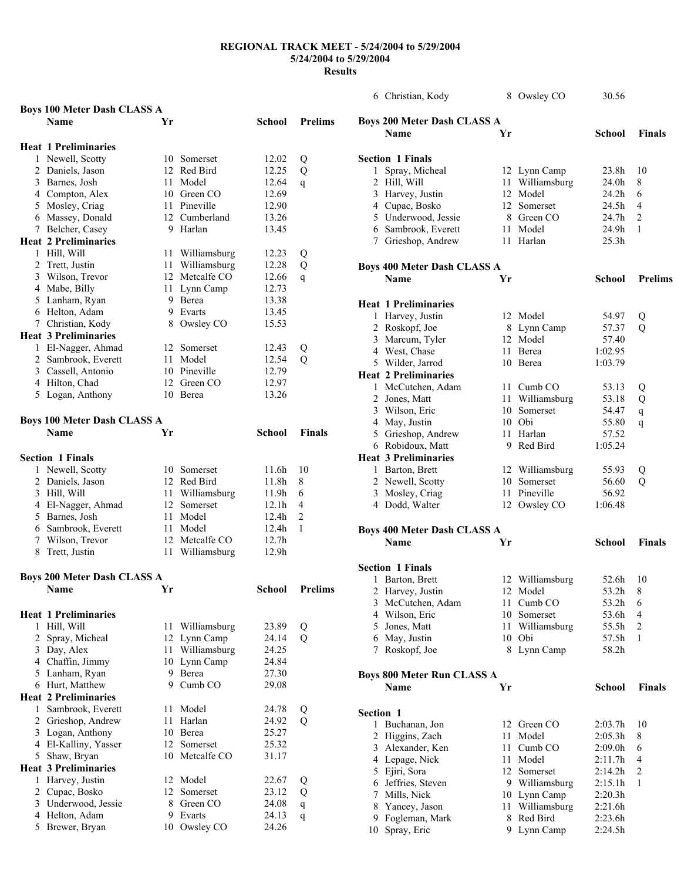| <b>Boys 100 Meter Dash CLASS A</b> |                                    |    |                 |                   |                  |
|------------------------------------|------------------------------------|----|-----------------|-------------------|------------------|
|                                    | <b>Name</b>                        | Yr |                 | School            | <b>Prelims</b>   |
|                                    |                                    |    |                 |                   |                  |
|                                    | <b>Heat 1 Preliminaries</b>        |    |                 |                   |                  |
|                                    | 1 Newell, Scotty                   |    | 10 Somerset     | 12.02             | Q                |
|                                    | 2 Daniels, Jason                   |    | 12 Red Bird     | 12.25             | Q                |
|                                    | 3 Barnes, Josh                     | 11 | Model           | 12.64             | $\mathsf{q}$     |
|                                    | 4 Compton, Alex                    |    | 10 Green CO     | 12.69             |                  |
|                                    | 5 Mosley, Criag                    |    | 11 Pineville    | 12.90             |                  |
|                                    | 6 Massey, Donald                   |    | 12 Cumberland   | 13.26             |                  |
|                                    | 7 Belcher, Casey                   | 9  | Harlan          | 13.45             |                  |
|                                    |                                    |    |                 |                   |                  |
|                                    | <b>Heat 2 Preliminaries</b>        |    |                 |                   |                  |
|                                    | 1 Hill, Will                       |    | 11 Williamsburg | 12.23             | Q                |
|                                    | 2 Trett, Justin                    |    | 11 Williamsburg | 12.28             | Q                |
|                                    | 3 Wilson, Trevor                   |    | 12 Metcalfe CO  | 12.66             | $\mathbf{q}$     |
|                                    | 4 Mabe, Billy                      | 11 | Lynn Camp       | 12.73             |                  |
|                                    | 5 Lanham, Ryan                     | 9. | Berea           | 13.38             |                  |
|                                    | 6 Helton, Adam                     |    | 9 Evarts        | 13.45             |                  |
|                                    | 7 Christian, Kody                  |    | 8 Owsley CO     | 15.53             |                  |
|                                    | <b>Heat 3 Preliminaries</b>        |    |                 |                   |                  |
|                                    | 1 El-Nagger, Ahmad                 |    | 12 Somerset     | 12.43             | Q                |
|                                    | 2 Sambrook, Everett                | 11 | Model           | 12.54             | $\overline{Q}$   |
|                                    | 3 Cassell, Antonio                 |    | 10 Pineville    | 12.79             |                  |
|                                    | 4 Hilton, Chad                     |    | 12 Green CO     | 12.97             |                  |
|                                    | 5 Logan, Anthony                   |    | 10 Berea        | 13.26             |                  |
|                                    |                                    |    |                 |                   |                  |
|                                    | <b>Boys 100 Meter Dash CLASS A</b> |    |                 |                   |                  |
|                                    | <b>Name</b>                        | Yr |                 |                   | <b>Finals</b>    |
|                                    |                                    |    |                 | School            |                  |
|                                    |                                    |    |                 |                   |                  |
|                                    | <b>Section 1 Finals</b>            |    |                 |                   |                  |
|                                    | 1 Newell, Scotty                   |    | 10 Somerset     | 11.6h             | 10               |
|                                    |                                    |    |                 |                   |                  |
|                                    | 2 Daniels, Jason                   |    | 12 Red Bird     | 11.8h             | 8                |
|                                    | 3 Hill, Will                       |    | 11 Williamsburg | 11.9h             | 6                |
|                                    | 4 El-Nagger, Ahmad                 |    | 12 Somerset     | 12.1 <sub>h</sub> | 4                |
|                                    | 5 Barnes, Josh                     | 11 | Model           | 12.4 <sub>h</sub> | $\overline{c}$   |
|                                    | 6 Sambrook, Everett                | 11 | Model           | 12.4h             | 1                |
|                                    | 7 Wilson, Trevor                   | 12 | Metcalfe CO     | 12.7h             |                  |
|                                    | 8 Trett, Justin                    | 11 | Williamsburg    | 12.9h             |                  |
|                                    |                                    |    |                 |                   |                  |
|                                    |                                    |    |                 |                   |                  |
|                                    | <b>Boys 200 Meter Dash CLASS A</b> | Yr |                 | School            | <b>Prelims</b>   |
|                                    | <b>Name</b>                        |    |                 |                   |                  |
|                                    |                                    |    |                 |                   |                  |
|                                    | <b>Heat 1 Preliminaries</b>        |    |                 |                   |                  |
| 1                                  | Hill, Will                         |    | 11 Williamsburg | 23.89             | Q                |
|                                    | 2 Spray, Micheal                   |    | 12 Lynn Camp    | 24.14             | Q                |
|                                    | 3 Day, Alex                        | 11 | Williamsburg    | 24.25             |                  |
|                                    | 4 Chaffin, Jimmy                   | 10 | Lynn Camp       | 24.84             |                  |
|                                    | 5 Lanham, Ryan                     | 9  | Berea           | 27.30             |                  |
|                                    | 6 Hurt, Matthew                    | 9  | Cumb CO         | 29.08             |                  |
|                                    | <b>Heat 2 Preliminaries</b>        |    |                 |                   |                  |
|                                    | 1 Sambrook, Everett                | 11 | Model           | 24.78             | Q                |
|                                    | 2 Grieshop, Andrew                 | 11 | Harlan          | 24.92             | Q                |
|                                    | 3 Logan, Anthony                   |    | 10 Berea        | 25.27             |                  |
|                                    | 4 El-Kalliny, Yasser               |    | 12 Somerset     | 25.32             |                  |
|                                    | 5 Shaw, Bryan                      |    | 10 Metcalfe CO  | 31.17             |                  |
|                                    | <b>Heat 3 Preliminaries</b>        |    |                 |                   |                  |
| 1                                  | Harvey, Justin                     | 12 | Model           | 22.67             | Q                |
|                                    | 2 Cupac, Bosko                     | 12 | Somerset        | 23.12             | Q                |
|                                    | 3 Underwood, Jessie                | 8  | Green CO        | 24.08             |                  |
|                                    | 4 Helton, Adam                     | 9  | Evarts          | 24.13             | $\mathbf q$<br>q |

|             | 6 Christian, Kody                                 |    | 8 Owsley CO        | 30.56             |                |
|-------------|---------------------------------------------------|----|--------------------|-------------------|----------------|
|             | <b>Boys 200 Meter Dash CLASS A</b><br><b>Name</b> | Yr |                    |                   |                |
|             |                                                   |    |                    | School            | <b>Finals</b>  |
|             | <b>Section 1 Finals</b>                           |    |                    |                   |                |
| 1           | Spray, Micheal                                    |    | 12 Lynn Camp       | 23.8h             | 10             |
|             | 2 Hill, Will                                      | 11 | Williamsburg       | 24.0h             | 8              |
|             | 3 Harvey, Justin                                  |    | 12 Model           | 24.2h             | 6              |
|             | 4 Cupac, Bosko                                    |    | 12 Somerset        | 24.5h             | 4              |
|             | 5 Underwood, Jessie                               |    | 8 Green CO         | 24.7h             | $\overline{c}$ |
|             | 6 Sambrook, Everett                               |    | 11 Model           | 24.9h             | 1              |
|             | 7 Grieshop, Andrew                                |    | 11 Harlan          | 25.3 <sub>h</sub> |                |
|             | <b>Boys 400 Meter Dash CLASS A</b>                |    |                    |                   |                |
|             | <b>Name</b>                                       | Yr |                    | School            | <b>Prelims</b> |
|             | <b>Heat 1 Preliminaries</b>                       |    |                    |                   |                |
| 1           | Harvey, Justin                                    |    | 12 Model           | 54.97             | Q              |
|             | 2 Roskopf, Joe                                    |    | 8 Lynn Camp        | 57.37             | Q              |
|             | 3 Marcum, Tyler                                   |    | 12 Model           | 57.40             |                |
|             | 4 West, Chase                                     | 11 | Berea              | 1:02.95           |                |
|             | 5 Wilder, Jarrod                                  |    | 10 Berea           | 1:03.79           |                |
|             | <b>Heat 2 Preliminaries</b>                       |    |                    |                   |                |
|             | 1 McCutchen, Adam                                 |    | 11 Cumb CO         | 53.13             | Q              |
|             | 2 Jones, Matt                                     | 11 | Williamsburg       | 53.18             | Q              |
|             | 3 Wilson, Eric                                    | 10 | Somerset           | 54.47             | q              |
|             | 4 May, Justin                                     |    | 10 Obi             | 55.80             | q              |
|             | 5 Grieshop, Andrew                                |    | 11 Harlan          | 57.52             |                |
|             | 6 Robidoux, Matt                                  |    | 9 Red Bird         | 1:05.24           |                |
|             | <b>Heat 3 Preliminaries</b>                       |    |                    |                   |                |
|             | 1 Barton, Brett                                   |    | 12 Williamsburg    | 55.93             | Q              |
|             | 2 Newell, Scotty                                  |    | 10 Somerset        | 56.60             | Q              |
|             | 3 Mosley, Criag                                   |    | 11 Pineville       | 56.92             |                |
|             | 4 Dodd, Walter                                    |    | 12 Owsley CO       | 1:06.48           |                |
|             | <b>Boys 400 Meter Dash CLASS A</b>                |    |                    |                   |                |
|             | Name                                              | Yr |                    | School            | <b>Finals</b>  |
|             | <b>Section 1 Finals</b>                           |    |                    |                   |                |
| 1           | Barton, Brett                                     |    | 12 Williamsburg    | 52.6h             | 10             |
|             | 2 Harvey, Justin                                  |    | 12 Model           | 53.2h             | 8              |
|             | 3 McCutchen, Adam                                 | 11 | Cumb <sub>CO</sub> | 53.2h             | 6              |
|             | 4 Wilson, Eric                                    |    | 10 Somerset        | 53.6h             | 4              |
|             | 5 Jones, Matt                                     | 11 | Williamsburg       | 55.5h             | $\overline{c}$ |
|             | 6 May, Justin                                     | 10 | Obi                | 57.5h             | 1              |
| $7^{\circ}$ | Roskopf, Joe                                      |    | 8 Lynn Camp        | 58.2h             |                |
|             | <b>Boys 800 Meter Run CLASS A</b>                 |    |                    |                   |                |
|             | Name                                              | Yr |                    | <b>School</b>     | <b>Finals</b>  |
| Section 1   |                                                   |    |                    |                   |                |
|             | 1 Buchanan, Jon                                   | 12 | Green CO           | 2:03.7h           | 10             |
|             | 2 Higgins, Zach                                   | 11 | Model              | 2:05.3h           | 8              |
|             | 3 Alexander, Ken                                  | 11 | Cumb <sub>CO</sub> | 2:09.0h           | 6              |
|             | 4 Lepage, Nick                                    | 11 | Model              | 2:11.7h           | 4              |
|             | 5 Ejiri, Sora                                     |    | 12 Somerset        | 2:14.2h           | $\overline{c}$ |
|             | 6 Jeffries, Steven                                |    | 9 Williamsburg     | 2:15.1h           | 1              |
|             | 7 Mills, Nick                                     |    | 10 Lynn Camp       | 2:20.3h           |                |
|             | 8 Yancey, Jason                                   | 11 | Williamsburg       | 2:21.6h           |                |
| 9.          | Fogleman, Mark                                    | 8  | Red Bird           | 2:23.6h           |                |
| 10          | Spray, Eric                                       | 9. | Lynn Camp          | 2:24.5h           |                |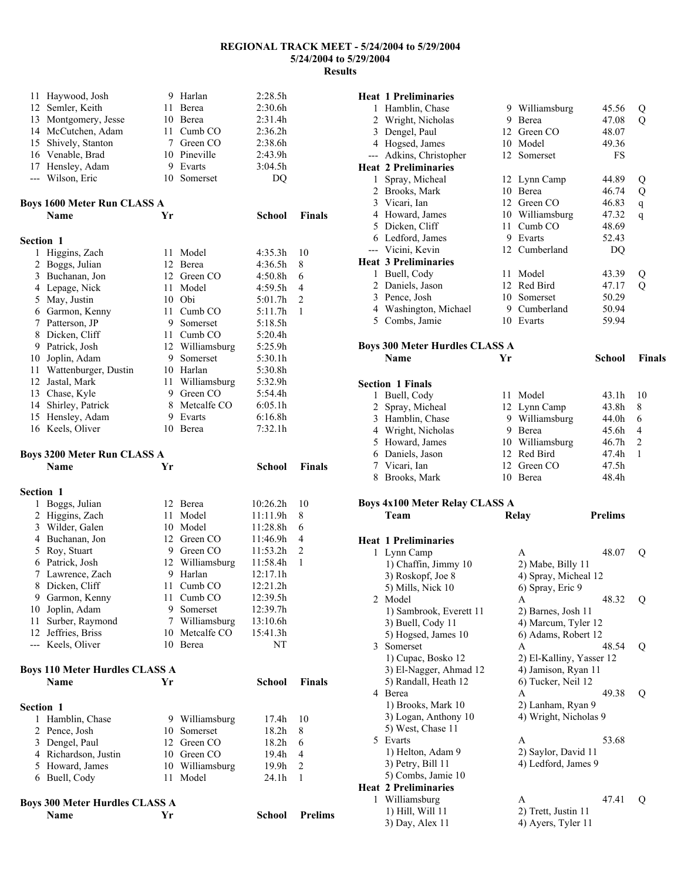|                  | 11 Haywood, Josh                      |    | 9 Harlan                  | 2:28.5h            |                |
|------------------|---------------------------------------|----|---------------------------|--------------------|----------------|
|                  | 12 Semler, Keith                      |    | 11 Berea                  | 2:30.6h            |                |
|                  | 13 Montgomery, Jesse                  |    | 10 Berea                  | 2:31.4h            |                |
|                  | 14 McCutchen, Adam                    | 11 | Cumb <sub>CO</sub>        | 2:36.2h            |                |
|                  | 15 Shively, Stanton                   |    | 7 Green CO                | 2:38.6h            |                |
|                  | 16 Venable, Brad                      |    | 10 Pineville              | 2:43.9h            |                |
|                  | 17 Hensley, Adam                      | 9. | Evarts                    | 3:04.5h            |                |
|                  | --- Wilson, Eric                      | 10 | Somerset                  | DQ                 |                |
|                  | <b>Boys 1600 Meter Run CLASS A</b>    |    |                           |                    |                |
|                  | Name                                  | Yr |                           | School             | <b>Finals</b>  |
| <b>Section 1</b> |                                       |    |                           |                    |                |
| 1                | Higgins, Zach                         | 11 | Model                     | 4:35.3h            | 10             |
| 2                | Boggs, Julian                         |    | 12 Berea                  | 4:36.5h            | 8              |
| 3                | Buchanan, Jon                         |    | 12 Green CO               | 4:50.8h            | 6              |
|                  | 4 Lepage, Nick                        | 11 | Model                     | 4:59.5h            | 4              |
| 5                | May, Justin                           |    | 10 Obi                    | 5:01.7h            | 2              |
|                  | 6 Garmon, Kenny                       | 11 | Cumb <sub>CO</sub>        | 5:11.7h            | 1              |
| 7                | Patterson, JP                         |    | 9 Somerset                | 5:18.5h            |                |
| 8                | Dicken, Cliff                         |    | 11 Cumb CO                | 5:20.4h            |                |
| 9.               | Patrick, Josh                         |    | 12 Williamsburg           | 5:25.9h            |                |
| 10               | Joplin, Adam                          | 9  | Somerset                  | 5:30.1h            |                |
| 11               | Wattenburger, Dustin                  |    | 10 Harlan                 | 5:30.8h            |                |
| 12               | Jastal, Mark                          |    | 11 Williamsburg           | 5:32.9h            |                |
|                  | 13 Chase, Kyle                        |    | 9 Green CO                | 5:54.4h            |                |
| 14<br>15         | Shirley, Patrick                      |    | 8 Metcalfe CO<br>9 Evarts | 6:05.1h            |                |
|                  | Hensley, Adam<br>16 Keels, Oliver     |    | 10 Berea                  | 6:16.8h<br>7:32.1h |                |
|                  |                                       |    |                           |                    |                |
|                  | <b>Boys 3200 Meter Run CLASS A</b>    |    |                           |                    |                |
|                  | <b>Name</b>                           | Yr |                           | School             | <b>Finals</b>  |
|                  |                                       |    |                           |                    |                |
| <b>Section 1</b> |                                       |    |                           |                    |                |
| 1                | Boggs, Julian                         |    | 12 Berea                  | 10:26.2h           | 10             |
| $\overline{c}$   | Higgins, Zach                         | 11 | Model                     | 11:11.9h           | 8              |
| 3                | Wilder, Galen                         |    | 10 Model                  | 11:28.8h           | 6              |
| 4                | Buchanan, Jon                         |    | 12 Green CO               | 11:46.9h           | 4              |
| 5                | Roy, Stuart                           |    | 9 Green CO                | 11:53.2h           | $\overline{c}$ |
|                  | 6 Patrick, Josh                       |    | 12 Williamsburg           | 11:58.4h           | 1              |
| $7\phantom{.0}$  | Lawrence, Zach                        |    | 9 Harlan                  | 12:17.1h           |                |
|                  | 8 Dicken, Cliff                       |    | 11 Cumb CO                | 12:21.2h           |                |
|                  | 9 Garmon, Kenny                       | 11 | Cumb <sub>CO</sub>        | 12:39.5h           |                |
|                  | 10 Joplin, Adam                       |    | 9 Somerset                | 12:39.7h           |                |
| 11               | Surber, Raymond                       |    | 7 Williamsburg            | 13:10.6h           |                |
|                  | 12 Jeffries, Briss                    | 10 | Metcalfe CO               | 15:41.3h           |                |
|                  | --- Keels, Oliver                     |    | 10 Berea                  | NΤ                 |                |
|                  | <b>Boys 110 Meter Hurdles CLASS A</b> |    |                           |                    |                |
|                  | Name                                  | Yr |                           | <b>School</b>      | Finals         |
| <b>Section 1</b> |                                       |    |                           |                    |                |
| 1                | Hamblin, Chase                        |    | 9 Williamsburg            | 17.4h              | 10             |
| 2                | Pence, Josh                           | 10 | Somerset                  | 18.2h              | 8              |
|                  | 3 Dengel, Paul                        |    | 12 Green CO               | 18.2 <sub>h</sub>  | 6              |
|                  | 4 Richardson, Justin                  |    | 10 Green CO               | 19.4h              | 4              |
|                  | 5 Howard, James                       |    | 10 Williamsburg           | 19.9h              | $\overline{c}$ |
|                  | 6 Buell, Cody                         | 11 | Model                     | 24.1h              | 1              |
|                  | <b>Boys 300 Meter Hurdles CLASS A</b> |    |                           |                    |                |

|                | <b>Heat 1 Preliminaries</b>           |    |                          |                |                |
|----------------|---------------------------------------|----|--------------------------|----------------|----------------|
|                | 1 Hamblin, Chase                      |    | 9 Williamsburg           | 45.56          | Q              |
| $\overline{2}$ | Wright, Nicholas                      |    | 9 Berea                  | 47.08          | Q              |
| 3              | Dengel, Paul                          |    | 12 Green CO              | 48.07          |                |
|                | 4 Hogsed, James                       |    | 10 Model                 | 49.36          |                |
|                | --- Adkins, Christopher               |    | 12 Somerset              | FS             |                |
|                | <b>Heat 2 Preliminaries</b>           |    |                          |                |                |
| 1              | Spray, Micheal                        |    | 12 Lynn Camp             | 44.89          | Q              |
|                | 2 Brooks, Mark                        |    | 10 Berea                 | 46.74          | Q              |
|                | 3 Vicari, Ian                         |    | 12 Green CO              | 46.83          | q              |
|                | 4 Howard, James                       |    | 10 Williamsburg          | 47.32          | q              |
|                | 5 Dicken, Cliff                       |    | 11 Cumb CO               | 48.69          |                |
|                | 6 Ledford, James                      |    | 9 Evarts                 | 52.43          |                |
|                | --- Vicini, Kevin                     |    | 12 Cumberland            | DQ             |                |
|                | <b>Heat 3 Preliminaries</b>           |    |                          |                |                |
|                | 1 Buell, Cody                         | 11 | Model                    | 43.39          | Q              |
|                | 2 Daniels, Jason                      | 12 | Red Bird                 | 47.17          | Q              |
|                | 3 Pence, Josh                         |    | 10 Somerset              | 50.29          |                |
|                | 4 Washington, Michael                 |    | 9 Cumberland             | 50.94          |                |
|                | 5 Combs, Jamie                        |    | 10 Evarts                | 59.94          |                |
|                |                                       |    |                          |                |                |
|                |                                       |    |                          |                |                |
|                | <b>Boys 300 Meter Hurdles CLASS A</b> |    |                          |                |                |
|                | Name                                  | Yr |                          | <b>School</b>  | <b>Finals</b>  |
|                |                                       |    |                          |                |                |
|                | <b>Section 1 Finals</b>               |    |                          |                |                |
| 1              | Buell, Cody                           |    | 11 Model                 | 43.1h          | 10             |
| $\overline{c}$ | Spray, Micheal                        |    | 12 Lynn Camp             | 43.8h          | 8              |
| 3              | Hamblin, Chase                        |    | 9 Williamsburg           | 44.0h          | 6              |
|                | 4 Wright, Nicholas                    |    | 9 Berea                  | 45.6h          | 4              |
|                | 5 Howard, James                       |    | 10 Williamsburg          | 46.7h          | $\overline{c}$ |
|                | 6 Daniels, Jason                      |    | 12 Red Bird              | 47.4h          | 1              |
| 7              | Vicari, Ian                           |    | 12 Green CO              | 47.5h          |                |
|                | 8 Brooks, Mark                        |    | 10 Berea                 | 48.4h          |                |
|                |                                       |    |                          |                |                |
|                | <b>Boys 4x100 Meter Relay CLASS A</b> |    |                          |                |                |
|                | Team                                  |    | Relay                    | <b>Prelims</b> |                |
|                |                                       |    |                          |                |                |
|                | <b>Heat 1 Preliminaries</b>           |    |                          |                |                |
|                | 1 Lynn Camp                           |    | A                        | 48.07          | Q              |
|                | 1) Chaffin, Jimmy 10                  |    | 2) Mabe, Billy 11        |                |                |
|                | 3) Roskopf, Joe 8                     |    | 4) Spray, Micheal 12     |                |                |
|                | 5) Mills, Nick 10                     |    | 6) Spray, Eric 9         |                |                |
|                | 2 Model                               |    | A                        | 48.32          | Q              |
|                | 1) Sambrook, Everett 11               |    | 2) Barnes, Josh 11       |                |                |
|                | 3) Buell, Cody 11                     |    | 4) Marcum, Tyler 12      |                |                |
|                | 5) Hogsed, James 10                   |    | 6) Adams, Robert 12      |                |                |
|                | 3 Somerset                            |    | A                        | 48.54          | Q              |
|                | 1) Cupac, Bosko 12                    |    | 2) El-Kalliny, Yasser 12 |                |                |
|                | 3) El-Nagger, Ahmad 12                |    | 4) Jamison, Ryan 11      |                |                |
|                | 5) Randall, Heath 12                  |    | 6) Tucker, Neil 12       |                |                |
|                | 4 Berea                               |    | A                        | 49.38          | Q              |
|                | 1) Brooks, Mark 10                    |    | 2) Lanham, Ryan 9        |                |                |
|                | 3) Logan, Anthony 10                  |    | 4) Wright, Nicholas 9    |                |                |
|                | 5) West, Chase 11                     |    |                          |                |                |
|                | 5 Evarts                              |    | A                        | 53.68          |                |
|                | 1) Helton, Adam 9                     |    | 2) Saylor, David 11      |                |                |
|                | 3) Petry, Bill 11                     |    | 4) Ledford, James 9      |                |                |
|                | 5) Combs, Jamie 10                    |    |                          |                |                |
|                | <b>Heat 2 Preliminaries</b>           |    |                          |                |                |
| 1              | Williamsburg                          |    | A                        | 47.41          | Q              |
|                | 1) Hill, Will 11                      |    | 2) Trett, Justin 11      |                |                |
|                | 3) Day, Alex 11                       |    | 4) Ayers, Tyler 11       |                |                |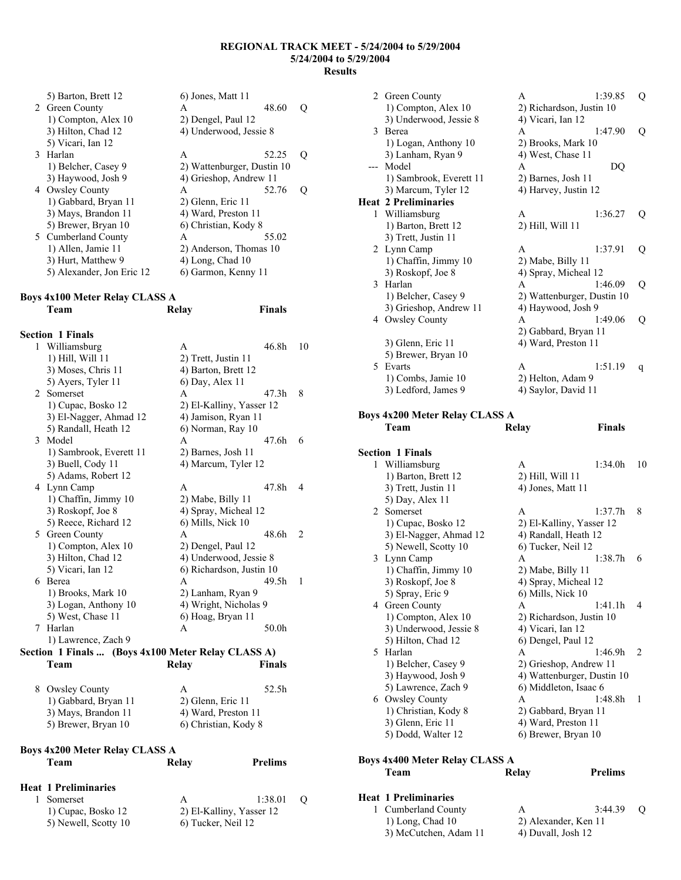**Finals** 

| 5) Barton, Brett 12       | 6) Jones, Matt 11          |       |   |
|---------------------------|----------------------------|-------|---|
| 2 Green County            | A                          | 48.60 | Ő |
| 1) Compton, Alex 10       | 2) Dengel, Paul 12         |       |   |
| 3) Hilton, Chad 12        | 4) Underwood, Jessie 8     |       |   |
| 5) Vicari, Ian 12         |                            |       |   |
| 3 Harlan                  | A                          | 52.25 |   |
| 1) Belcher, Casey 9       | 2) Wattenburger, Dustin 10 |       |   |
| 3) Haywood, Josh 9        | 4) Grieshop, Andrew 11     |       |   |
| 4 Owsley County           | A                          | 52.76 |   |
| 1) Gabbard, Bryan 11      | 2) Glenn, Eric 11          |       |   |
| 3) Mays, Brandon 11       | 4) Ward, Preston 11        |       |   |
| 5) Brewer, Bryan 10       | 6) Christian, Kody 8       |       |   |
| 5 Cumberland County       | A                          | 55.02 |   |
| 1) Allen, Jamie 11        | 2) Anderson, Thomas 10     |       |   |
| 3) Hurt, Matthew 9        | $(4)$ Long, Chad $(10)$    |       |   |
| 5) Alexander, Jon Eric 12 | 6) Garmon, Kenny 11        |       |   |

# **Boys 4x100 Meter Relay CLASS A**

| <b>Section 1 Finals</b>                            |                          |               |                |
|----------------------------------------------------|--------------------------|---------------|----------------|
| 1 Williamsburg                                     | A                        | 46.8h         | 10             |
| 1) Hill, Will 11                                   | 2) Trett, Justin 11      |               |                |
| 3) Moses, Chris 11                                 | 4) Barton, Brett 12      |               |                |
| 5) Ayers, Tyler 11                                 | 6) Day, Alex 11          |               |                |
| 2 Somerset                                         | $\mathsf{A}$             | 47 3h         | 8              |
| 1) Cupac, Bosko 12                                 | 2) El-Kalliny, Yasser 12 |               |                |
| 3) El-Nagger, Ahmad 12                             | 4) Jamison, Ryan 11      |               |                |
| 5) Randall, Heath 12                               | 6) Norman, Ray 10        |               |                |
| 3 Model                                            | A                        | 47 6h         | 6              |
| 1) Sambrook, Everett 11                            | 2) Barnes, Josh 11       |               |                |
| 3) Buell, Cody 11                                  | 4) Marcum, Tyler 12      |               |                |
| 5) Adams, Robert 12                                |                          |               |                |
| 4 Lynn Camp                                        | A                        | 47 8h         | 4              |
| 1) Chaffin, Jimmy 10                               | 2) Mabe, Billy 11        |               |                |
| 3) Roskopf, Joe 8                                  | 4) Spray, Micheal 12     |               |                |
| 5) Reece, Richard 12                               | 6) Mills, Nick 10        |               |                |
| 5 Green County                                     | A                        | 48.6h         | 2              |
| 1) Compton, Alex 10                                | 2) Dengel, Paul 12       |               |                |
| 3) Hilton, Chad 12                                 | 4) Underwood, Jessie 8   |               |                |
| 5) Vicari, Ian 12                                  | 6) Richardson, Justin 10 |               |                |
| 6 Berea                                            | A                        | 49.5h         | $\overline{1}$ |
| 1) Brooks, Mark 10                                 | 2) Lanham, Ryan 9        |               |                |
| 3) Logan, Anthony 10                               | 4) Wright, Nicholas 9    |               |                |
| 5) West, Chase 11                                  | 6) Hoag, Bryan 11        |               |                |
| 7 Harlan                                           | A                        | 50.0h         |                |
| 1) Lawrence, Zach 9                                |                          |               |                |
| Section 1 Finals  (Boys 4x100 Meter Relay CLASS A) |                          |               |                |
| Team                                               | Relay                    | <b>Finals</b> |                |

| 8 Owsley County      | A                    | 52.5h |
|----------------------|----------------------|-------|
| 1) Gabbard, Bryan 11 | 2) Glenn, Eric 11    |       |
| 3) Mays, Brandon 11  | 4) Ward, Preston 11  |       |
| 5) Brewer, Bryan 10  | 6) Christian, Kody 8 |       |
|                      |                      |       |

| <b>Boys 4x200 Meter Relay CLASS A</b> |                    |                          |                  |  |  |  |
|---------------------------------------|--------------------|--------------------------|------------------|--|--|--|
| Team                                  | Relay              | <b>Prelims</b>           |                  |  |  |  |
| <b>Heat 1 Preliminaries</b>           |                    |                          |                  |  |  |  |
| Somerset                              | A                  | 1:38.01                  | $\left( \right)$ |  |  |  |
| 1) Cupac, Bosko 12                    |                    | 2) El-Kalliny, Yasser 12 |                  |  |  |  |
| 5) Newell, Scotty 10                  | 6) Tucker, Neil 12 |                          |                  |  |  |  |

| 2 Green County                                | A<br>1:39.85                   | Q       |
|-----------------------------------------------|--------------------------------|---------|
| 1) Compton, Alex 10                           | 2) Richardson, Justin 10       |         |
| 3) Underwood, Jessie 8                        | 4) Vicari, Ian 12              |         |
| 3 Berea                                       | 1:47.90<br>A                   | Q       |
| 1) Logan, Anthony 10                          | 2) Brooks, Mark 10             |         |
|                                               |                                |         |
| 3) Lanham, Ryan 9                             | 4) West, Chase 11              |         |
| --- Model                                     | A<br>DQ                        |         |
| 1) Sambrook, Everett 11                       | 2) Barnes, Josh 11             |         |
| 3) Marcum, Tyler 12                           | 4) Harvey, Justin 12           |         |
| <b>Heat 2 Preliminaries</b>                   |                                |         |
| 1 Williamsburg                                | 1:36.27<br>A                   | Q       |
| 1) Barton, Brett 12                           | 2) Hill, Will 11               |         |
| 3) Trett, Justin 11                           |                                |         |
| 2 Lynn Camp                                   | A<br>1:37.91                   | Q       |
| 1) Chaffin, Jimmy 10                          | 2) Mabe, Billy 11              |         |
| 3) Roskopf, Joe 8                             | 4) Spray, Micheal 12           |         |
| 3 Harlan                                      | 1:46.09<br>A                   | $\bf Q$ |
| 1) Belcher, Casey 9                           | 2) Wattenburger, Dustin 10     |         |
| 3) Grieshop, Andrew 11                        | 4) Haywood, Josh 9             |         |
| 4 Owsley County                               | 1:49.06<br>A                   | Q       |
|                                               | 2) Gabbard, Bryan 11           |         |
|                                               |                                |         |
| 3) Glenn, Eric 11                             | 4) Ward, Preston 11            |         |
| 5) Brewer, Bryan 10                           |                                |         |
| 5 Evarts                                      | A<br>1:51.19                   | q       |
| 1) Combs, Jamie 10                            | 2) Helton, Adam 9              |         |
| 3) Ledford, James 9                           | 4) Saylor, David 11            |         |
|                                               |                                |         |
| <b>Boys 4x200 Meter Relay CLASS A</b>         |                                |         |
| Team                                          | <b>Finals</b><br><b>Relay</b>  |         |
|                                               |                                |         |
|                                               |                                |         |
|                                               |                                |         |
| <b>Section 1 Finals</b>                       |                                |         |
| 1 Williamsburg                                | A<br>1:34.0h                   | 10      |
| 1) Barton, Brett 12                           | 2) Hill, Will 11               |         |
| 3) Trett, Justin 11                           | 4) Jones, Matt 11              |         |
| 5) Day, Alex 11                               |                                |         |
| 2 Somerset                                    | 1:37.7h<br>A                   | 8       |
| 1) Cupac, Bosko 12                            | 2) El-Kalliny, Yasser 12       |         |
| 3) El-Nagger, Ahmad 12                        | 4) Randall, Heath 12           |         |
| 5) Newell, Scotty 10                          | 6) Tucker, Neil 12             |         |
| 3 Lynn Camp                                   | 1:38.7h<br>A                   | 6       |
| 1) Chaffin, Jimmy 10                          | 2) Mabe, Billy 11              |         |
| 3) Roskopf, Joe 8                             | 4) Spray, Micheal 12           |         |
| 5) Spray, Eric 9                              | 6) Mills, Nick 10              |         |
| 4 Green County                                | A<br>1:41.1h                   | 4       |
| 1) Compton, Alex 10                           | 2) Richardson, Justin 10       |         |
|                                               |                                |         |
| 3) Underwood, Jessie 8                        | 4) Vicari, Ian 12              |         |
| 5) Hilton, Chad 12                            | 6) Dengel, Paul 12             |         |
| 5 Harlan                                      | 1:46.9h<br>A                   | 2       |
| 1) Belcher, Casey 9                           | 2) Grieshop, Andrew 11         |         |
| 3) Haywood, Josh 9                            | 4) Wattenburger, Dustin 10     |         |
| 5) Lawrence, Zach 9                           | 6) Middleton, Isaac 6          |         |
| 6 Owsley County                               | 1:48.8h<br>A                   | 1       |
| 1) Christian, Kody 8                          | 2) Gabbard, Bryan 11           |         |
| 3) Glenn, Eric 11                             | 4) Ward, Preston 11            |         |
| 5) Dodd, Walter 12                            | 6) Brewer, Bryan 10            |         |
|                                               |                                |         |
| <b>Boys 4x400 Meter Relay CLASS A</b><br>Team | <b>Prelims</b><br><b>Relay</b> |         |

## **Heat 1 Preliminaries**  1 Cumberland County A 3:44.39 Q 1) Long, Chad 10 2) Alexander, Ken 11

 $3)$  McCutchen, Adam 11

| 2) Alexander, Ken 11 |  |
|----------------------|--|
| 4) Duvall, Josh 12   |  |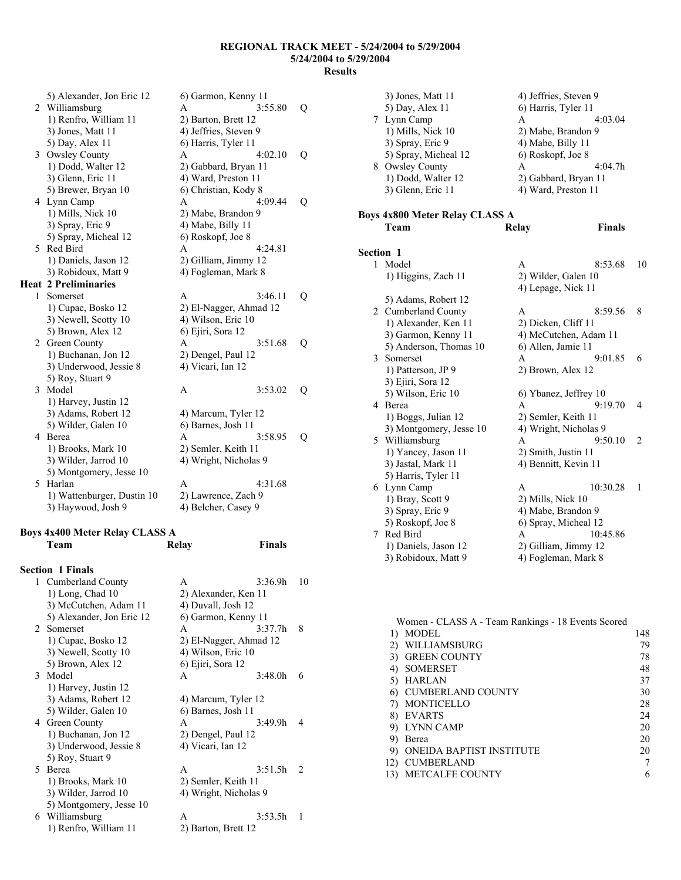|    | 5) Alexander, Jon Eric 12         | 6) Garmon, Kenny 11    |         |   |
|----|-----------------------------------|------------------------|---------|---|
|    | 2 Williamsburg                    | A                      | 3:55.80 | Q |
|    | 1) Renfro, William 11             | 2) Barton, Brett 12    |         |   |
|    | 3) Jones, Matt 11                 | 4) Jeffries, Steven 9  |         |   |
|    | 5) Day, Alex 11                   | 6) Harris, Tyler 11    |         |   |
| 3  | <b>Owsley County</b>              | A                      | 4:02.10 | Q |
|    | 1) Dodd, Walter 12                | 2) Gabbard, Bryan 11   |         |   |
|    | 3) Glenn, Eric 11                 | 4) Ward, Preston 11    |         |   |
|    | 5) Brewer, Bryan 10               | 6) Christian, Kody 8   |         |   |
|    | 4 Lynn Camp                       | A                      | 4:09.44 | Q |
|    | 1) Mills, Nick 10                 | 2) Mabe, Brandon 9     |         |   |
|    | 3) Spray, Eric 9                  | 4) Mabe, Billy 11      |         |   |
|    | 5) Spray, Micheal 12              | 6) Roskopf, Joe 8      |         |   |
| 5. | Red Bird                          | A                      | 4:24.81 |   |
|    | 1) Daniels, Jason 12              | 2) Gilliam, Jimmy 12   |         |   |
|    | 3) Robidoux, Matt 9               | 4) Fogleman, Mark 8    |         |   |
|    | <b>Heat 2 Preliminaries</b>       |                        |         |   |
| 1  | Somerset                          | A                      | 3:46.11 | Q |
|    | 1) Cupac, Bosko 12                | 2) El-Nagger, Ahmad 12 |         |   |
|    | 3) Newell, Scotty 10              | 4) Wilson, Eric 10     |         |   |
|    | 5) Brown, Alex 12                 | 6) Ejiri, Sora 12      |         |   |
| 2  | Green County                      | A                      | 3:51.68 | Q |
|    | 1) Buchanan, Jon 12               | 2) Dengel, Paul 12     |         |   |
|    | 3) Underwood, Jessie 8            | 4) Vicari, Ian 12      |         |   |
|    | 5) Roy, Stuart 9                  |                        |         |   |
| 3  | Model                             | A                      | 3:53.02 | Q |
|    | 1) Harvey, Justin 12              |                        |         |   |
|    | 3) Adams, Robert 12               | 4) Marcum, Tyler 12    |         |   |
|    | 5) Wilder, Galen 10               | 6) Barnes, Josh 11     |         |   |
| 4  | Berea                             | A                      | 3:58.95 | Q |
|    | 1) Brooks, Mark 10                | 2) Semler, Keith 11    |         |   |
|    | 3) Wilder, Jarrod 10              | 4) Wright, Nicholas 9  |         |   |
|    | 5) Montgomery, Jesse 10<br>Harlan |                        | 4:31.68 |   |
| 5  |                                   | A                      |         |   |
|    | 1) Wattenburger, Dustin 10        | 2) Lawrence, Zach 9    |         |   |
|    | 3) Haywood, Josh 9                | 4) Belcher, Casey 9    |         |   |

# **Boys 4x400 Meter Relay CLASS A**

|             | Team                      | Relay                  | <b>Finals</b>       |               |
|-------------|---------------------------|------------------------|---------------------|---------------|
|             | <b>Section 1 Finals</b>   |                        |                     |               |
| 1           | Cumberland County         | A                      | 3:36.9h             | 10            |
|             | $1)$ Long, Chad $10$      | 2) Alexander, Ken 11   |                     |               |
|             | 3) McCutchen, Adam 11     | 4) Duvall, Josh 12     |                     |               |
|             | 5) Alexander, Jon Eric 12 | 6) Garmon, Kenny 11    |                     |               |
| $2^{\circ}$ | Somerset                  | A                      | 3.377h              | 8             |
|             | 1) Cupac, Bosko 12        | 2) El-Nagger, Ahmad 12 |                     |               |
|             | 3) Newell, Scotty 10      | 4) Wilson, Eric 10     |                     |               |
|             | 5) Brown, Alex 12         | 6) Ejiri, Sora 12      |                     |               |
|             | 3 Model                   | A                      | 3:48.0h             | 6             |
|             | 1) Harvey, Justin 12      |                        |                     |               |
|             | 3) Adams, Robert 12       | 4) Marcum, Tyler 12    |                     |               |
|             | 5) Wilder, Galen 10       | 6) Barnes, Josh 11     |                     |               |
|             | 4 Green County            | A                      | 3:49.9h             | 4             |
|             | 1) Buchanan, Jon 12       |                        | 2) Dengel, Paul 12  |               |
|             | 3) Underwood, Jessie 8    | 4) Vicari, Ian 12      |                     |               |
|             | 5) Roy, Stuart 9          |                        |                     |               |
| 5.          | <b>Berea</b>              | $\mathsf{A}$           | 3:51.5h             | $\mathcal{L}$ |
|             | 1) Brooks, Mark 10        |                        | 2) Semler, Keith 11 |               |
|             | 3) Wilder, Jarrod 10      | 4) Wright, Nicholas 9  |                     |               |
|             | 5) Montgomery, Jesse 10   |                        |                     |               |
| 6           | Williamsburg              | A                      | 3:53.5h             | 1             |
|             | 1) Renfro, William 11     | 2) Barton, Brett 12    |                     |               |
|             |                           |                        |                     |               |

|                | 3) Jones, Matt 11<br>5) Day, Alex 11<br>7 Lynn Camp<br>1) Mills, Nick 10<br>3) Spray, Eric 9<br>5) Spray, Micheal 12<br>8 Owsley County<br>1) Dodd, Walter 12<br>3) Glenn, Eric 11 | 4) Jeffries, Steven 9<br>6) Harris, Tyler 11<br>A<br>4:03.04<br>2) Mabe, Brandon 9<br>4) Mabe, Billy 11<br>6) Roskopf, Joe 8<br>4:04.7h<br>A<br>2) Gabbard, Bryan 11<br>4) Ward, Preston 11 |    |
|----------------|------------------------------------------------------------------------------------------------------------------------------------------------------------------------------------|---------------------------------------------------------------------------------------------------------------------------------------------------------------------------------------------|----|
|                | <b>Boys 4x800 Meter Relay CLASS A</b>                                                                                                                                              |                                                                                                                                                                                             |    |
|                | Team                                                                                                                                                                               | <b>Finals</b><br>Relay                                                                                                                                                                      |    |
|                |                                                                                                                                                                                    |                                                                                                                                                                                             |    |
| Section 1<br>1 |                                                                                                                                                                                    |                                                                                                                                                                                             |    |
|                | Model                                                                                                                                                                              | 8:53.68<br>A                                                                                                                                                                                | 10 |
|                | 1) Higgins, Zach 11                                                                                                                                                                | 2) Wilder, Galen 10<br>4) Lepage, Nick 11                                                                                                                                                   |    |
|                |                                                                                                                                                                                    |                                                                                                                                                                                             |    |
|                | 5) Adams, Robert 12<br>2 Cumberland County                                                                                                                                         | 8:59.56<br>A                                                                                                                                                                                | 8  |
|                | 1) Alexander, Ken 11                                                                                                                                                               | 2) Dicken, Cliff 11                                                                                                                                                                         |    |
|                | 3) Garmon, Kenny 11                                                                                                                                                                | 4) McCutchen, Adam 11                                                                                                                                                                       |    |
|                | 5) Anderson, Thomas 10                                                                                                                                                             | 6) Allen, Jamie 11                                                                                                                                                                          |    |
|                | 3 Somerset                                                                                                                                                                         | 9:01.85<br>A                                                                                                                                                                                | 6  |
|                | 1) Patterson, JP 9                                                                                                                                                                 | 2) Brown, Alex 12                                                                                                                                                                           |    |
|                | 3) Ejiri, Sora 12                                                                                                                                                                  |                                                                                                                                                                                             |    |
|                | 5) Wilson, Eric 10                                                                                                                                                                 | 6) Ybanez, Jeffrey 10                                                                                                                                                                       |    |
|                | 4 Berea                                                                                                                                                                            | 9:19.70<br>A                                                                                                                                                                                | 4  |
|                | 1) Boggs, Julian 12                                                                                                                                                                | 2) Semler, Keith 11                                                                                                                                                                         |    |
|                | 3) Montgomery, Jesse 10                                                                                                                                                            | 4) Wright, Nicholas 9                                                                                                                                                                       |    |
|                | 5 Williamsburg                                                                                                                                                                     | 9:50.10<br>A                                                                                                                                                                                | 2  |
|                | 1) Yancey, Jason 11                                                                                                                                                                | 2) Smith, Justin 11                                                                                                                                                                         |    |
|                | 3) Jastal, Mark 11                                                                                                                                                                 | 4) Bennitt, Kevin 11                                                                                                                                                                        |    |
|                | 5) Harris, Tyler 11                                                                                                                                                                |                                                                                                                                                                                             |    |
|                | 6 Lynn Camp                                                                                                                                                                        | A<br>10:30.28                                                                                                                                                                               | 1  |
|                | 1) Bray, Scott 9                                                                                                                                                                   | 2) Mills, Nick 10                                                                                                                                                                           |    |
|                | 3) Spray, Eric 9                                                                                                                                                                   | 4) Mabe, Brandon 9                                                                                                                                                                          |    |
|                | 5) Roskopf, Joe 8                                                                                                                                                                  | 6) Spray, Micheal 12                                                                                                                                                                        |    |
| 7              | Red Bird                                                                                                                                                                           | 10:45.86<br>A                                                                                                                                                                               |    |
|                | 1) Daniels, Jason 12                                                                                                                                                               | 2) Gilliam, Jimmy 12                                                                                                                                                                        |    |
|                | 3) Robidoux, Matt 9                                                                                                                                                                | 4) Fogleman, Mark 8                                                                                                                                                                         |    |

| Women - CLASS A - Team Rankings - 18 Events Scored |                          |     |
|----------------------------------------------------|--------------------------|-----|
|                                                    | MODEL                    | 148 |
|                                                    | WILLIAMSBURG             | 79  |
| 3)                                                 | <b>GREEN COUNTY</b>      | 78  |
| 4)                                                 | <b>SOMERSET</b>          | 48  |
| 5)                                                 | <b>HARLAN</b>            | 37  |
|                                                    | <b>CUMBERLAND COUNTY</b> | 30  |
|                                                    | MONTICELLO               | 28  |
| 8)                                                 | EVARTS                   | 24  |
| 9)                                                 | LYNN CAMP                | 20  |
| 9)                                                 | Berea                    | 20  |
| 9)                                                 | ONEIDA BAPTIST INSTITUTE | 20  |
| 12)                                                | <b>CUMBERLAND</b>        |     |
|                                                    | <b>METCALFE COUNTY</b>   | 6   |